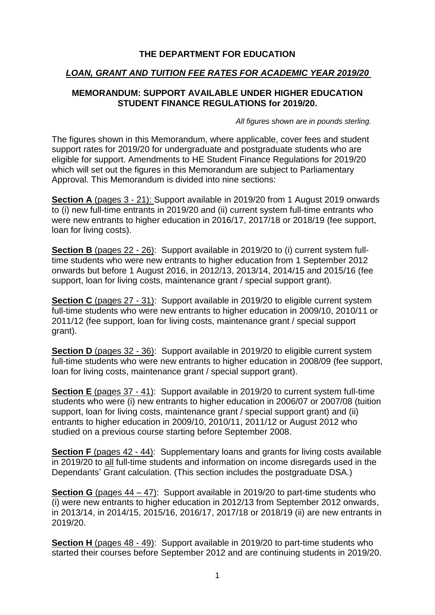### **THE DEPARTMENT FOR EDUCATION**

### *LOAN, GRANT AND TUITION FEE RATES FOR ACADEMIC YEAR 2019/20*

### **MEMORANDUM: SUPPORT AVAILABLE UNDER HIGHER EDUCATION STUDENT FINANCE REGULATIONS for 2019/20.**

*All figures shown are in pounds sterling.*

The figures shown in this Memorandum, where applicable, cover fees and student support rates for 2019/20 for undergraduate and postgraduate students who are eligible for support. Amendments to HE Student Finance Regulations for 2019/20 which will set out the figures in this Memorandum are subject to Parliamentary Approval. This Memorandum is divided into nine sections:

**Section A** (pages 3 - 21): Support available in 2019/20 from 1 August 2019 onwards to (i) new full-time entrants in 2019/20 and (ii) current system full-time entrants who were new entrants to higher education in 2016/17, 2017/18 or 2018/19 (fee support, loan for living costs).

**Section B** (pages 22 - 26): Support available in 2019/20 to (i) current system fulltime students who were new entrants to higher education from 1 September 2012 onwards but before 1 August 2016, in 2012/13, 2013/14, 2014/15 and 2015/16 (fee support, loan for living costs, maintenance grant / special support grant).

**Section C** (pages 27 - 31): Support available in 2019/20 to eligible current system full-time students who were new entrants to higher education in 2009/10, 2010/11 or 2011/12 (fee support, loan for living costs, maintenance grant / special support grant).

**Section D** (pages 32 - 36): Support available in 2019/20 to eligible current system full-time students who were new entrants to higher education in 2008/09 (fee support, loan for living costs, maintenance grant / special support grant).

**Section E** (pages 37 - 41): Support available in 2019/20 to current system full-time students who were (i) new entrants to higher education in 2006/07 or 2007/08 (tuition support, loan for living costs, maintenance grant / special support grant) and (ii) entrants to higher education in 2009/10, 2010/11, 2011/12 or August 2012 who studied on a previous course starting before September 2008.

**Section F** (pages 42 - 44): Supplementary loans and grants for living costs available in 2019/20 to all full-time students and information on income disregards used in the Dependants' Grant calculation. (This section includes the postgraduate DSA.)

**Section G** (pages 44 – 47): Support available in 2019/20 to part-time students who (i) were new entrants to higher education in 2012/13 from September 2012 onwards, in 2013/14, in 2014/15, 2015/16, 2016/17, 2017/18 or 2018/19 (ii) are new entrants in 2019/20.

**Section H** (pages 48 - 49): Support available in 2019/20 to part-time students who started their courses before September 2012 and are continuing students in 2019/20.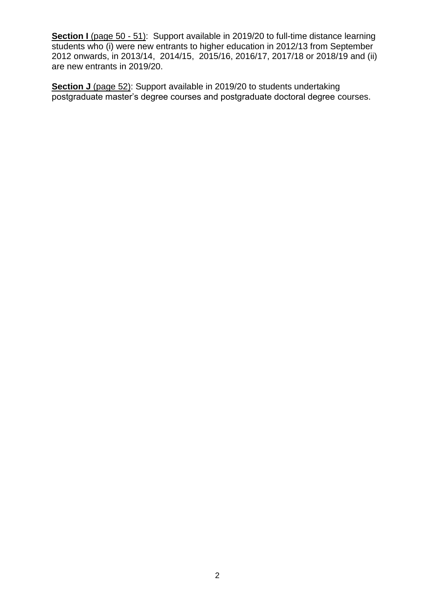**Section I** (page 50 - 51): Support available in 2019/20 to full-time distance learning students who (i) were new entrants to higher education in 2012/13 from September 2012 onwards, in 2013/14, 2014/15, 2015/16, 2016/17, 2017/18 or 2018/19 and (ii) are new entrants in 2019/20.

**Section J** (page 52): Support available in 2019/20 to students undertaking postgraduate master's degree courses and postgraduate doctoral degree courses.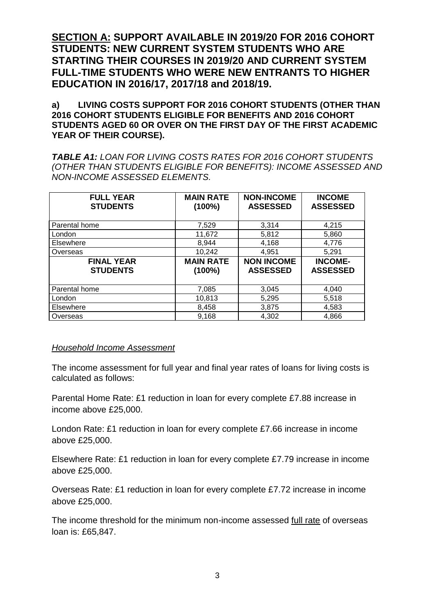**SECTION A: SUPPORT AVAILABLE IN 2019/20 FOR 2016 COHORT STUDENTS: NEW CURRENT SYSTEM STUDENTS WHO ARE STARTING THEIR COURSES IN 2019/20 AND CURRENT SYSTEM FULL-TIME STUDENTS WHO WERE NEW ENTRANTS TO HIGHER EDUCATION IN 2016/17, 2017/18 and 2018/19.** 

**a) LIVING COSTS SUPPORT FOR 2016 COHORT STUDENTS (OTHER THAN 2016 COHORT STUDENTS ELIGIBLE FOR BENEFITS AND 2016 COHORT STUDENTS AGED 60 OR OVER ON THE FIRST DAY OF THE FIRST ACADEMIC YEAR OF THEIR COURSE).**

*TABLE A1: LOAN FOR LIVING COSTS RATES FOR 2016 COHORT STUDENTS (OTHER THAN STUDENTS ELIGIBLE FOR BENEFITS): INCOME ASSESSED AND NON-INCOME ASSESSED ELEMENTS.*

| <b>FULL YEAR</b><br><b>STUDENTS</b>  | <b>MAIN RATE</b><br>$(100\%)$ | <b>NON-INCOME</b><br><b>ASSESSED</b> | <b>INCOME</b><br><b>ASSESSED</b>  |
|--------------------------------------|-------------------------------|--------------------------------------|-----------------------------------|
| Parental home                        | 7,529                         | 3,314                                | 4,215                             |
| London                               | 11,672                        | 5,812                                | 5,860                             |
| Elsewhere                            | 8,944                         | 4,168                                | 4,776                             |
| Overseas                             | 10,242                        | 4,951                                | 5,291                             |
| <b>FINAL YEAR</b><br><b>STUDENTS</b> | <b>MAIN RATE</b><br>$(100\%)$ | <b>NON INCOME</b><br><b>ASSESSED</b> | <b>INCOME-</b><br><b>ASSESSED</b> |
| Parental home                        | 7,085                         | 3,045                                | 4,040                             |
| London                               | 10,813                        | 5,295                                | 5,518                             |
| Elsewhere                            | 8,458                         | 3,875                                | 4,583                             |
| Overseas                             | 9.168                         | 4,302                                | 4,866                             |

### *Household Income Assessment*

The income assessment for full year and final year rates of loans for living costs is calculated as follows:

Parental Home Rate: £1 reduction in loan for every complete £7.88 increase in income above £25,000.

London Rate: £1 reduction in loan for every complete £7.66 increase in income above £25,000.

Elsewhere Rate: £1 reduction in loan for every complete £7.79 increase in income above £25,000.

Overseas Rate: £1 reduction in loan for every complete £7.72 increase in income above £25,000.

The income threshold for the minimum non-income assessed full rate of overseas loan is: £65,847.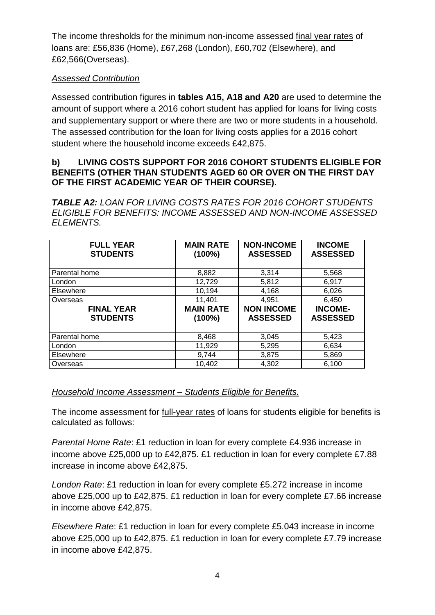The income thresholds for the minimum non-income assessed final year rates of loans are: £56,836 (Home), £67,268 (London), £60,702 (Elsewhere), and £62,566(Overseas).

## *Assessed Contribution*

Assessed contribution figures in **tables A15, A18 and A20** are used to determine the amount of support where a 2016 cohort student has applied for loans for living costs and supplementary support or where there are two or more students in a household. The assessed contribution for the loan for living costs applies for a 2016 cohort student where the household income exceeds £42,875.

### **b) LIVING COSTS SUPPORT FOR 2016 COHORT STUDENTS ELIGIBLE FOR BENEFITS (OTHER THAN STUDENTS AGED 60 OR OVER ON THE FIRST DAY OF THE FIRST ACADEMIC YEAR OF THEIR COURSE).**

*TABLE A2: LOAN FOR LIVING COSTS RATES FOR 2016 COHORT STUDENTS ELIGIBLE FOR BENEFITS: INCOME ASSESSED AND NON-INCOME ASSESSED ELEMENTS.*

| <b>FULL YEAR</b><br><b>STUDENTS</b>  | <b>MAIN RATE</b><br>$(100\%)$ | <b>NON-INCOME</b><br><b>ASSESSED</b> | <b>INCOME</b><br><b>ASSESSED</b>  |
|--------------------------------------|-------------------------------|--------------------------------------|-----------------------------------|
| Parental home                        | 8,882                         | 3,314                                | 5,568                             |
| London                               | 12,729                        | 5,812                                | 6,917                             |
| Elsewhere                            | 10,194                        | 4,168                                | 6,026                             |
| Overseas                             | 11,401                        | 4,951                                | 6,450                             |
| <b>FINAL YEAR</b><br><b>STUDENTS</b> | <b>MAIN RATE</b><br>$(100\%)$ | <b>NON INCOME</b><br><b>ASSESSED</b> | <b>INCOME-</b><br><b>ASSESSED</b> |
| Parental home                        | 8,468                         | 3,045                                | 5,423                             |
| London                               | 11,929                        | 5,295                                | 6,634                             |
| Elsewhere                            | 9,744                         | 3,875                                | 5,869                             |
| Overseas                             | 10,402                        | 4,302                                | 6.100                             |

## *Household Income Assessment – Students Eligible for Benefits.*

The income assessment for full-year rates of loans for students eligible for benefits is calculated as follows:

*Parental Home Rate*: £1 reduction in loan for every complete £4.936 increase in income above £25,000 up to £42,875. £1 reduction in loan for every complete £7.88 increase in income above £42,875.

*London Rate*: £1 reduction in loan for every complete £5.272 increase in income above £25,000 up to £42,875. £1 reduction in loan for every complete £7.66 increase in income above £42,875.

*Elsewhere Rate*: £1 reduction in loan for every complete £5.043 increase in income above £25,000 up to £42,875. £1 reduction in loan for every complete £7.79 increase in income above £42,875.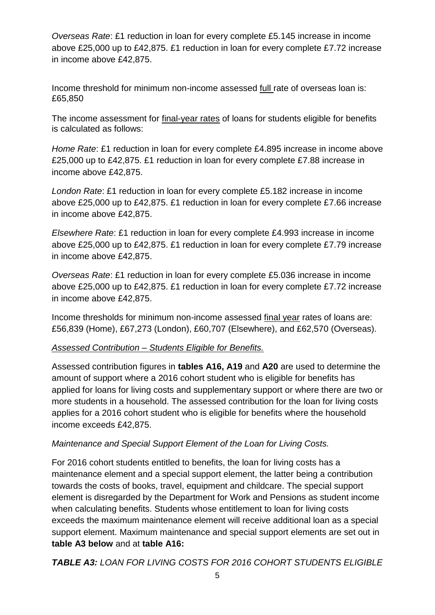*Overseas Rate*: £1 reduction in loan for every complete £5.145 increase in income above £25,000 up to £42,875. £1 reduction in loan for every complete £7.72 increase in income above £42,875.

Income threshold for minimum non-income assessed full rate of overseas loan is: £65,850

The income assessment for final-year rates of loans for students eligible for benefits is calculated as follows:

*Home Rate*: £1 reduction in loan for every complete £4.895 increase in income above £25,000 up to £42,875. £1 reduction in loan for every complete £7.88 increase in income above £42,875.

*London Rate*: £1 reduction in loan for every complete £5.182 increase in income above £25,000 up to £42,875. £1 reduction in loan for every complete £7.66 increase in income above £42,875.

*Elsewhere Rate*: £1 reduction in loan for every complete £4.993 increase in income above £25,000 up to £42,875. £1 reduction in loan for every complete £7.79 increase in income above £42,875.

*Overseas Rate*: £1 reduction in loan for every complete £5.036 increase in income above £25,000 up to £42,875. £1 reduction in loan for every complete £7.72 increase in income above £42,875.

Income thresholds for minimum non-income assessed final year rates of loans are: £56,839 (Home), £67,273 (London), £60,707 (Elsewhere), and £62,570 (Overseas).

# *Assessed Contribution – Students Eligible for Benefits.*

Assessed contribution figures in **tables A16, A19** and **A20** are used to determine the amount of support where a 2016 cohort student who is eligible for benefits has applied for loans for living costs and supplementary support or where there are two or more students in a household. The assessed contribution for the loan for living costs applies for a 2016 cohort student who is eligible for benefits where the household income exceeds £42,875.

# *Maintenance and Special Support Element of the Loan for Living Costs.*

For 2016 cohort students entitled to benefits, the loan for living costs has a maintenance element and a special support element, the latter being a contribution towards the costs of books, travel, equipment and childcare. The special support element is disregarded by the Department for Work and Pensions as student income when calculating benefits. Students whose entitlement to loan for living costs exceeds the maximum maintenance element will receive additional loan as a special support element. Maximum maintenance and special support elements are set out in **table A3 below** and at **table A16:**

*TABLE A3: LOAN FOR LIVING COSTS FOR 2016 COHORT STUDENTS ELIGIBLE*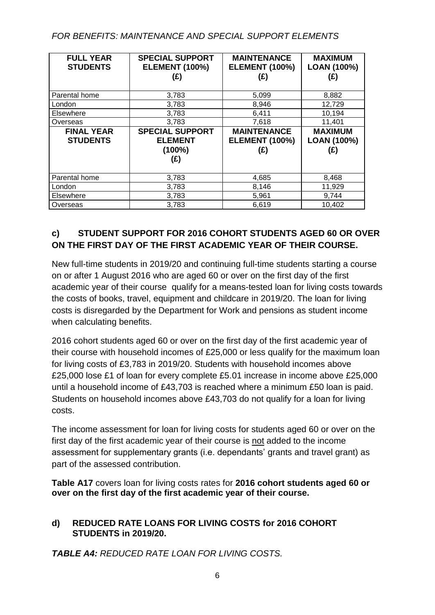# *FOR BENEFITS: MAINTENANCE AND SPECIAL SUPPORT ELEMENTS*

| <b>FULL YEAR</b><br><b>STUDENTS</b>  | <b>SPECIAL SUPPORT</b><br><b>ELEMENT (100%)</b><br>(E)       | <b>MAINTENANCE</b><br><b>ELEMENT (100%)</b><br>(E) | <b>MAXIMUM</b><br>LOAN (100%)<br>(£) |
|--------------------------------------|--------------------------------------------------------------|----------------------------------------------------|--------------------------------------|
| Parental home                        | 3,783                                                        | 5,099                                              | 8,882                                |
| London                               | 3,783                                                        | 8,946                                              | 12,729                               |
| Elsewhere                            | 3,783                                                        | 6,411                                              | 10,194                               |
| Overseas                             | 3,783                                                        | 7,618                                              | 11,401                               |
| <b>FINAL YEAR</b><br><b>STUDENTS</b> | <b>SPECIAL SUPPORT</b><br><b>ELEMENT</b><br>$(100\%)$<br>(£) | <b>MAINTENANCE</b><br><b>ELEMENT (100%)</b><br>(E) | <b>MAXIMUM</b><br>LOAN (100%)<br>(£) |
| Parental home                        | 3,783                                                        | 4,685                                              | 8,468                                |
| London                               | 3,783                                                        | 8,146                                              | 11,929                               |
| Elsewhere                            | 3,783                                                        | 5,961                                              | 9,744                                |
| Overseas                             | 3,783                                                        | 6,619                                              | 10,402                               |

# **c) STUDENT SUPPORT FOR 2016 COHORT STUDENTS AGED 60 OR OVER ON THE FIRST DAY OF THE FIRST ACADEMIC YEAR OF THEIR COURSE.**

New full-time students in 2019/20 and continuing full-time students starting a course on or after 1 August 2016 who are aged 60 or over on the first day of the first academic year of their course qualify for a means-tested loan for living costs towards the costs of books, travel, equipment and childcare in 2019/20. The loan for living costs is disregarded by the Department for Work and pensions as student income when calculating benefits.

2016 cohort students aged 60 or over on the first day of the first academic year of their course with household incomes of £25,000 or less qualify for the maximum loan for living costs of £3,783 in 2019/20. Students with household incomes above £25,000 lose £1 of loan for every complete £5.01 increase in income above £25,000 until a household income of £43,703 is reached where a minimum £50 loan is paid. Students on household incomes above £43,703 do not qualify for a loan for living costs.

The income assessment for loan for living costs for students aged 60 or over on the first day of the first academic year of their course is not added to the income assessment for supplementary grants (i.e. dependants' grants and travel grant) as part of the assessed contribution.

**Table A17** covers loan for living costs rates for **2016 cohort students aged 60 or over on the first day of the first academic year of their course.** 

# **d) REDUCED RATE LOANS FOR LIVING COSTS for 2016 COHORT STUDENTS in 2019/20.**

*TABLE A4: REDUCED RATE LOAN FOR LIVING COSTS.*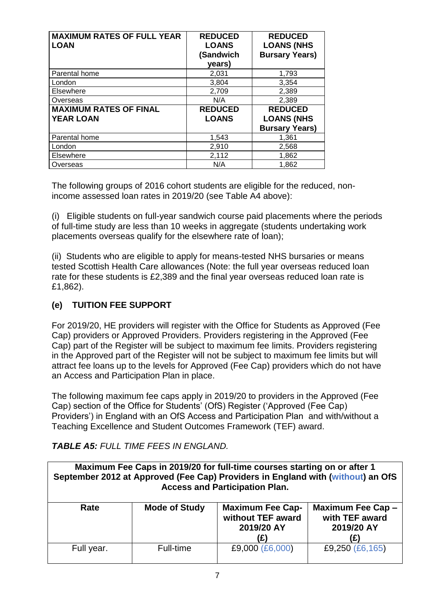| <b>MAXIMUM RATES OF FULL YEAR</b><br><b>LOAN</b>  | <b>REDUCED</b><br><b>LOANS</b><br>(Sandwich<br>years) | <b>REDUCED</b><br><b>LOANS (NHS</b><br><b>Bursary Years)</b> |
|---------------------------------------------------|-------------------------------------------------------|--------------------------------------------------------------|
| Parental home                                     | 2,031                                                 | 1,793                                                        |
| London                                            | 3,804                                                 | 3,354                                                        |
| Elsewhere                                         | 2,709                                                 | 2,389                                                        |
| Overseas                                          | N/A                                                   | 2,389                                                        |
| <b>MAXIMUM RATES OF FINAL</b><br><b>YEAR LOAN</b> | <b>REDUCED</b><br><b>LOANS</b>                        | <b>REDUCED</b><br><b>LOANS (NHS</b><br><b>Bursary Years)</b> |
| Parental home                                     | 1,543                                                 | 1,361                                                        |
| London                                            | 2,910                                                 | 2,568                                                        |
| Elsewhere                                         | 2,112                                                 | 1,862                                                        |
| Overseas                                          | N/A                                                   | 1,862                                                        |

The following groups of 2016 cohort students are eligible for the reduced, nonincome assessed loan rates in 2019/20 (see Table A4 above):

(i) Eligible students on full-year sandwich course paid placements where the periods of full-time study are less than 10 weeks in aggregate (students undertaking work placements overseas qualify for the elsewhere rate of loan);

(ii) Students who are eligible to apply for means-tested NHS bursaries or means tested Scottish Health Care allowances (Note: the full year overseas reduced loan rate for these students is £2,389 and the final year overseas reduced loan rate is £1,862).

# **(e) TUITION FEE SUPPORT**

For 2019/20, HE providers will register with the Office for Students as Approved (Fee Cap) providers or Approved Providers. Providers registering in the Approved (Fee Cap) part of the Register will be subject to maximum fee limits. Providers registering in the Approved part of the Register will not be subject to maximum fee limits but will attract fee loans up to the levels for Approved (Fee Cap) providers which do not have an Access and Participation Plan in place.

The following maximum fee caps apply in 2019/20 to providers in the Approved (Fee Cap) section of the Office for Students' (OfS) Register ('Approved (Fee Cap) Providers') in England with an OfS Access and Participation Plan and with/without a Teaching Excellence and Student Outcomes Framework (TEF) award.

# *TABLE A5: FULL TIME FEES IN ENGLAND.*

| Maximum Fee Caps in 2019/20 for full-time courses starting on or after 1<br>September 2012 at Approved (Fee Cap) Providers in England with (without) an OfS<br><b>Access and Participation Plan.</b> |                      |                                                                   |                                                          |
|------------------------------------------------------------------------------------------------------------------------------------------------------------------------------------------------------|----------------------|-------------------------------------------------------------------|----------------------------------------------------------|
| Rate                                                                                                                                                                                                 | <b>Mode of Study</b> | <b>Maximum Fee Cap-</b><br>without TEF award<br>2019/20 AY<br>(£) | Maximum Fee Cap -<br>with TEF award<br>2019/20 AY<br>(£) |
| Full year.                                                                                                                                                                                           | Full-time            | £9,000 (£6,000)                                                   | £9,250 (£6,165)                                          |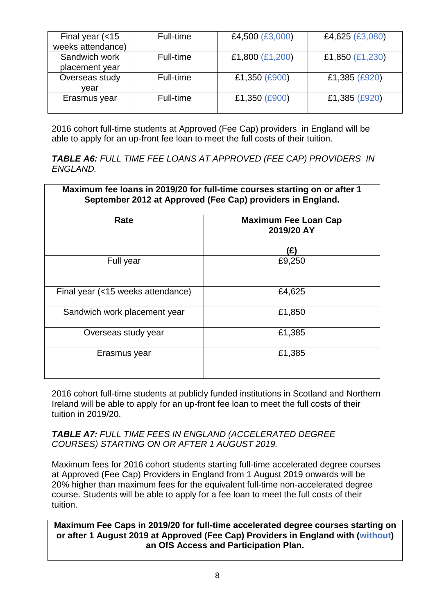| Final year $\left( < 15 \right)$ | Full-time | £4,500 (£3,000) | £4,625 (£3,080) |
|----------------------------------|-----------|-----------------|-----------------|
| weeks attendance)                |           |                 |                 |
| Sandwich work                    | Full-time | £1,800 (£1,200) | £1,850 (£1,230) |
| placement year                   |           |                 |                 |
| Overseas study                   | Full-time | £1,350 (£900)   | £1,385 (£920)   |
| vear                             |           |                 |                 |
| Erasmus year                     | Full-time | £1,350 (£900)   | £1,385 (£920)   |
|                                  |           |                 |                 |

2016 cohort full-time students at Approved (Fee Cap) providers in England will be able to apply for an up-front fee loan to meet the full costs of their tuition.

*TABLE A6: FULL TIME FEE LOANS AT APPROVED (FEE CAP) PROVIDERS IN ENGLAND.* 

| Maximum fee loans in 2019/20 for full-time courses starting on or after 1<br>September 2012 at Approved (Fee Cap) providers in England. |                                           |  |
|-----------------------------------------------------------------------------------------------------------------------------------------|-------------------------------------------|--|
| Rate                                                                                                                                    | <b>Maximum Fee Loan Cap</b><br>2019/20 AY |  |
|                                                                                                                                         | (£)                                       |  |
| Full year                                                                                                                               | £9,250                                    |  |
| Final year (<15 weeks attendance)                                                                                                       | £4,625                                    |  |
| Sandwich work placement year                                                                                                            | £1,850                                    |  |
| Overseas study year                                                                                                                     | £1,385                                    |  |
| Erasmus year                                                                                                                            | £1,385                                    |  |

2016 cohort full-time students at publicly funded institutions in Scotland and Northern Ireland will be able to apply for an up-front fee loan to meet the full costs of their tuition in 2019/20.

### *TABLE A7: FULL TIME FEES IN ENGLAND (ACCELERATED DEGREE COURSES) STARTING ON OR AFTER 1 AUGUST 2019.*

Maximum fees for 2016 cohort students starting full-time accelerated degree courses at Approved (Fee Cap) Providers in England from 1 August 2019 onwards will be 20% higher than maximum fees for the equivalent full-time non-accelerated degree course. Students will be able to apply for a fee loan to meet the full costs of their tuition.

**Maximum Fee Caps in 2019/20 for full-time accelerated degree courses starting on or after 1 August 2019 at Approved (Fee Cap) Providers in England with (without) an OfS Access and Participation Plan.**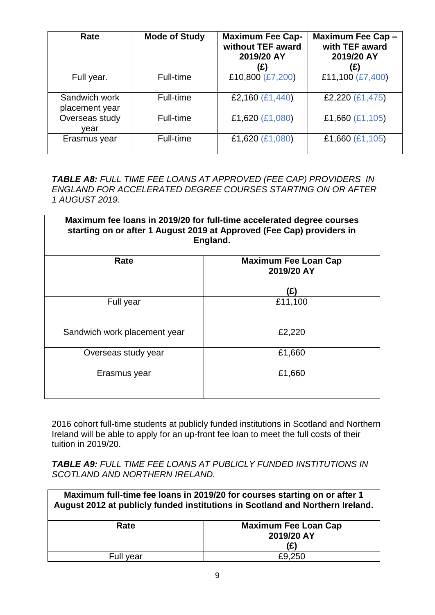| Rate                            | <b>Mode of Study</b> | <b>Maximum Fee Cap-</b><br>without TEF award<br>2019/20 AY<br>(£) | Maximum Fee Cap -<br>with TEF award<br>2019/20 AY<br>(£) |
|---------------------------------|----------------------|-------------------------------------------------------------------|----------------------------------------------------------|
| Full year.                      | Full-time            | £10,800 (£7,200)                                                  | £11,100 (£7,400)                                         |
| Sandwich work<br>placement year | Full-time            | £2,160 (£1,440)                                                   | £2,220 (£1,475)                                          |
| Overseas study<br>vear          | Full-time            | £1,620 (£1,080)                                                   | £1,660 (£1,105)                                          |
| Erasmus year                    | Full-time            | £1,620 (£1,080)                                                   | £1,660 (£1,105)                                          |

*TABLE A8: FULL TIME FEE LOANS AT APPROVED (FEE CAP) PROVIDERS IN ENGLAND FOR ACCELERATED DEGREE COURSES STARTING ON OR AFTER 1 AUGUST 2019.*

| Maximum fee loans in 2019/20 for full-time accelerated degree courses<br>starting on or after 1 August 2019 at Approved (Fee Cap) providers in<br>England. |                                           |  |
|------------------------------------------------------------------------------------------------------------------------------------------------------------|-------------------------------------------|--|
| Rate                                                                                                                                                       | <b>Maximum Fee Loan Cap</b><br>2019/20 AY |  |
|                                                                                                                                                            | (£)                                       |  |
| Full year                                                                                                                                                  | £11,100                                   |  |
| Sandwich work placement year                                                                                                                               | £2,220                                    |  |
| Overseas study year                                                                                                                                        | £1,660                                    |  |
| Erasmus year                                                                                                                                               | £1,660                                    |  |

2016 cohort full-time students at publicly funded institutions in Scotland and Northern Ireland will be able to apply for an up-front fee loan to meet the full costs of their tuition in 2019/20.

*TABLE A9: FULL TIME FEE LOANS AT PUBLICLY FUNDED INSTITUTIONS IN SCOTLAND AND NORTHERN IRELAND.*

| Maximum full-time fee loans in 2019/20 for courses starting on or after 1<br>August 2012 at publicly funded institutions in Scotland and Northern Ireland. |                                           |
|------------------------------------------------------------------------------------------------------------------------------------------------------------|-------------------------------------------|
| Rate                                                                                                                                                       | <b>Maximum Fee Loan Cap</b><br>2019/20 AY |
|                                                                                                                                                            |                                           |
|                                                                                                                                                            | (£)                                       |
| Full year                                                                                                                                                  | £9,250                                    |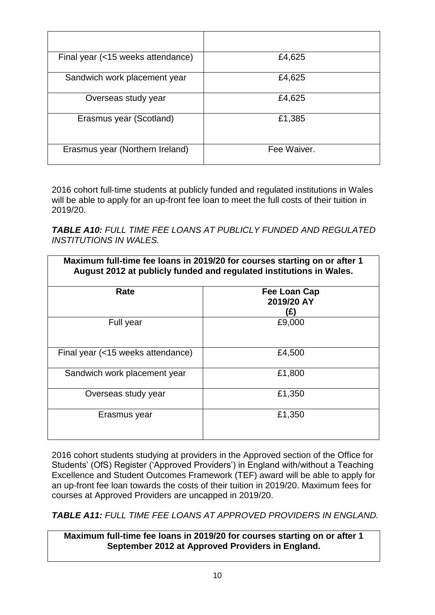| Final year (<15 weeks attendance) | £4,625      |
|-----------------------------------|-------------|
| Sandwich work placement year      | £4,625      |
| Overseas study year               | £4,625      |
| Erasmus year (Scotland)           | £1,385      |
| Erasmus year (Northern Ireland)   | Fee Waiver. |

2016 cohort full-time students at publicly funded and regulated institutions in Wales will be able to apply for an up-front fee loan to meet the full costs of their tuition in 2019/20.

*TABLE A10: FULL TIME FEE LOANS AT PUBLICLY FUNDED AND REGULATED INSTITUTIONS IN WALES.*

| Maximum full-time fee loans in 2019/20 for courses starting on or after 1<br>August 2012 at publicly funded and regulated institutions in Wales. |                                   |  |
|--------------------------------------------------------------------------------------------------------------------------------------------------|-----------------------------------|--|
| Rate                                                                                                                                             | Fee Loan Cap<br>2019/20 AY<br>(£) |  |
| Full year                                                                                                                                        | £9,000                            |  |
| Final year (<15 weeks attendance)                                                                                                                | £4,500                            |  |
| Sandwich work placement year                                                                                                                     | £1,800                            |  |
| Overseas study year                                                                                                                              | £1,350                            |  |
| Erasmus year                                                                                                                                     | £1,350                            |  |

2016 cohort students studying at providers in the Approved section of the Office for Students' (OfS) Register ('Approved Providers') in England with/without a Teaching Excellence and Student Outcomes Framework (TEF) award will be able to apply for an up-front fee loan towards the costs of their tuition in 2019/20. Maximum fees for courses at Approved Providers are uncapped in 2019/20.

*TABLE A11: FULL TIME FEE LOANS AT APPROVED PROVIDERS IN ENGLAND.*

**Maximum full-time fee loans in 2019/20 for courses starting on or after 1 September 2012 at Approved Providers in England.**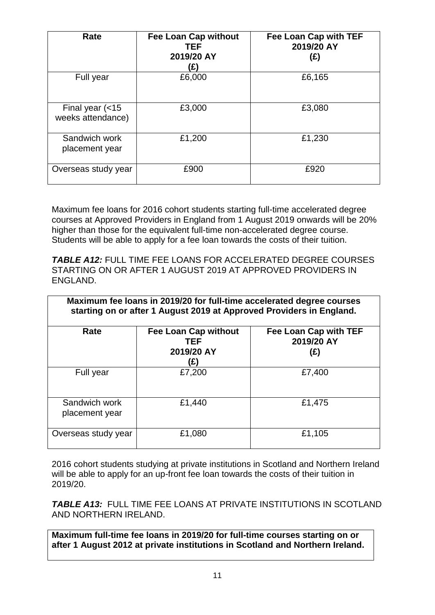| Rate                                                  | <b>Fee Loan Cap without</b><br><b>TEF</b><br>2019/20 AY<br>(£) | Fee Loan Cap with TEF<br>2019/20 AY<br>(E) |
|-------------------------------------------------------|----------------------------------------------------------------|--------------------------------------------|
| Full year                                             | £6,000                                                         | £6,165                                     |
| Final year $\left( < 15 \right)$<br>weeks attendance) | £3,000                                                         | £3,080                                     |
| Sandwich work<br>placement year                       | £1,200                                                         | £1,230                                     |
| Overseas study year                                   | £900                                                           | £920                                       |

Maximum fee loans for 2016 cohort students starting full-time accelerated degree courses at Approved Providers in England from 1 August 2019 onwards will be 20% higher than those for the equivalent full-time non-accelerated degree course. Students will be able to apply for a fee loan towards the costs of their tuition.

*TABLE A12:* FULL TIME FEE LOANS FOR ACCELERATED DEGREE COURSES STARTING ON OR AFTER 1 AUGUST 2019 AT APPROVED PROVIDERS IN ENGLAND.

| Maximum fee loans in 2019/20 for full-time accelerated degree courses<br>starting on or after 1 August 2019 at Approved Providers in England. |                                                                |                                            |  |  |  |  |
|-----------------------------------------------------------------------------------------------------------------------------------------------|----------------------------------------------------------------|--------------------------------------------|--|--|--|--|
| Rate                                                                                                                                          | <b>Fee Loan Cap without</b><br><b>TEF</b><br>2019/20 AY<br>(£) | Fee Loan Cap with TEF<br>2019/20 AY<br>(£) |  |  |  |  |
| Full year                                                                                                                                     | £7,200                                                         | £7,400                                     |  |  |  |  |
| Sandwich work<br>placement year                                                                                                               | £1,440                                                         | £1,475                                     |  |  |  |  |
| Overseas study year                                                                                                                           | £1,080                                                         | £1,105                                     |  |  |  |  |

2016 cohort students studying at private institutions in Scotland and Northern Ireland will be able to apply for an up-front fee loan towards the costs of their tuition in 2019/20.

*TABLE A13:* FULL TIME FEE LOANS AT PRIVATE INSTITUTIONS IN SCOTLAND AND NORTHERN IRELAND.

**Maximum full-time fee loans in 2019/20 for full-time courses starting on or after 1 August 2012 at private institutions in Scotland and Northern Ireland.**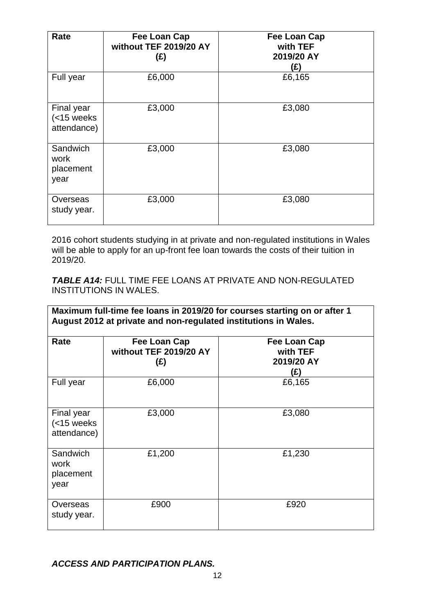| Rate                                       | <b>Fee Loan Cap</b><br>without TEF 2019/20 AY<br>(E) | <b>Fee Loan Cap</b><br>with TEF<br>2019/20 AY<br>(£) |
|--------------------------------------------|------------------------------------------------------|------------------------------------------------------|
| Full year                                  | £6,000                                               | £6,165                                               |
| Final year<br>$(<$ 15 weeks<br>attendance) | £3,000                                               | £3,080                                               |
| Sandwich<br>work<br>placement<br>year      | £3,000                                               | £3,080                                               |
| Overseas<br>study year.                    | £3,000                                               | £3,080                                               |

2016 cohort students studying in at private and non-regulated institutions in Wales will be able to apply for an up-front fee loan towards the costs of their tuition in 2019/20.

*TABLE A14:* FULL TIME FEE LOANS AT PRIVATE AND NON-REGULATED INSTITUTIONS IN WALES.

|                                                          | Maximum full-time fee loans in 2019/20 for courses starting on or after 1<br>August 2012 at private and non-regulated institutions in Wales. |                                               |  |  |  |  |  |
|----------------------------------------------------------|----------------------------------------------------------------------------------------------------------------------------------------------|-----------------------------------------------|--|--|--|--|--|
| Rate                                                     | Fee Loan Cap<br>without TEF 2019/20 AY<br>(E)                                                                                                | Fee Loan Cap<br>with TEF<br>2019/20 AY<br>(£) |  |  |  |  |  |
| Full year                                                | £6,000                                                                                                                                       | £6,165                                        |  |  |  |  |  |
| Final year<br>$\left( < 15 \right)$ weeks<br>attendance) | £3,000                                                                                                                                       | £3,080                                        |  |  |  |  |  |
| Sandwich<br>work<br>placement<br>year                    | £1,200                                                                                                                                       | £1,230                                        |  |  |  |  |  |
| Overseas<br>study year.                                  | £900                                                                                                                                         | £920                                          |  |  |  |  |  |

*ACCESS AND PARTICIPATION PLANS.*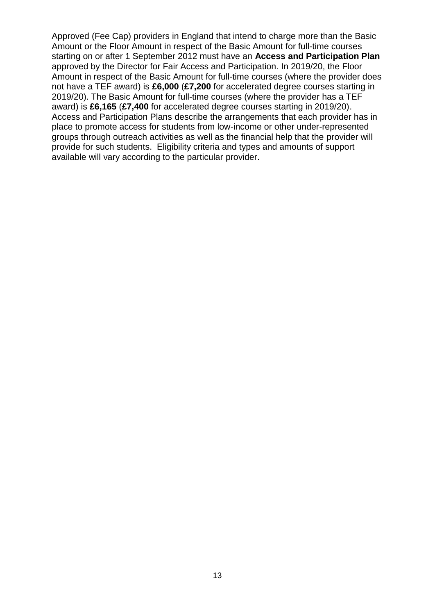Approved (Fee Cap) providers in England that intend to charge more than the Basic Amount or the Floor Amount in respect of the Basic Amount for full-time courses starting on or after 1 September 2012 must have an **Access and Participation Plan**  approved by the Director for Fair Access and Participation. In 2019/20, the Floor Amount in respect of the Basic Amount for full-time courses (where the provider does not have a TEF award) is **£6,000** (**£7,200** for accelerated degree courses starting in 2019/20). The Basic Amount for full-time courses (where the provider has a TEF award) is **£6,165** (**£7,400** for accelerated degree courses starting in 2019/20). Access and Participation Plans describe the arrangements that each provider has in place to promote access for students from low-income or other under-represented groups through outreach activities as well as the financial help that the provider will provide for such students. Eligibility criteria and types and amounts of support available will vary according to the particular provider.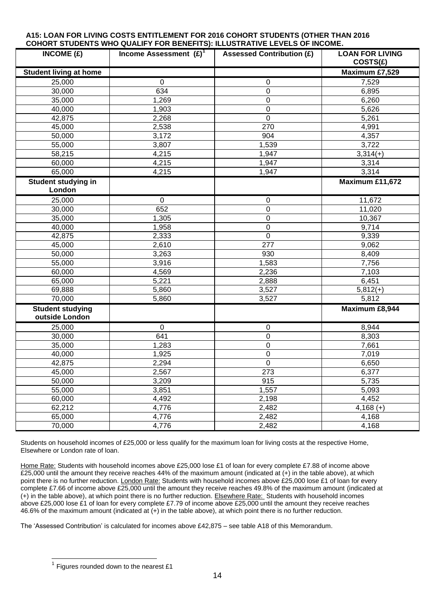#### **A15: LOAN FOR LIVING COSTS ENTITLEMENT FOR 2016 COHORT STUDENTS (OTHER THAN 2016 COHORT STUDENTS WHO QUALIFY FOR BENEFITS): ILLUSTRATIVE LEVELS OF INCOME.**

| INCOME $(E)$                              | Income Assessment $(E)^T$ | <b>Assessed Contribution (£)</b> | <b>LOAN FOR LIVING</b><br>COSTS(E) |
|-------------------------------------------|---------------------------|----------------------------------|------------------------------------|
| <b>Student living at home</b>             |                           |                                  | Maximum £7,529                     |
| 25,000                                    | $\pmb{0}$                 | 0                                | 7,529                              |
| 30,000                                    | 634                       | $\mathbf 0$                      | 6,895                              |
| 35,000                                    | 1,269                     | 0                                | 6,260                              |
| 40,000                                    | 1,903                     | 0                                | 5,626                              |
| 42,875                                    | 2,268                     | $\mathbf 0$                      | 5,261                              |
| 45,000                                    | 2,538                     | 270                              | 4,991                              |
| 50,000                                    | 3,172                     | 904                              | 4,357                              |
| 55,000                                    | 3,807                     | 1,539                            | 3,722                              |
| 58,215                                    | 4,215                     | 1,947                            | $3,314(+)$                         |
| 60,000                                    | 4,215                     | 1,947                            | 3,314                              |
| 65,000                                    | 4,215                     | 1,947                            | 3,314                              |
| Student studying in<br>London             |                           |                                  | Maximum £11,672                    |
| 25,000                                    | $\pmb{0}$                 | $\pmb{0}$                        | 11,672                             |
| 30,000                                    | 652                       | 0                                | 11,020                             |
| 35,000                                    | 1,305                     | 0                                | 10,367                             |
| 40,000                                    | 1,958                     | $\mathbf 0$                      | 9,714                              |
| 42,875                                    | 2,333                     | $\mathbf 0$                      | 9,339                              |
| 45,000                                    | 2,610                     | 277                              | 9,062                              |
| 50,000                                    | 3,263                     | 930                              | 8,409                              |
| 55,000                                    | 3,916                     | 1,583                            | 7,756                              |
| 60,000                                    | 4,569                     | 2,236                            | 7,103                              |
| 65,000                                    | 5,221                     | 2,888                            | 6,451                              |
| 69,888                                    | 5,860                     | 3,527                            | $5,812(+)$                         |
| 70,000                                    | 5,860                     | 3,527                            | 5,812                              |
| <b>Student studying</b><br>outside London |                           |                                  | Maximum £8,944                     |
| 25,000                                    | $\mathbf 0$               | 0                                | 8,944                              |
| 30,000                                    | 641                       | $\pmb{0}$                        | 8,303                              |
| 35,000                                    | 1,283                     | $\mathbf 0$                      | 7,661                              |
| 40,000                                    | 1,925                     | $\mathbf 0$                      | 7,019                              |
| 42,875                                    | 2,294                     | $\pmb{0}$                        | 6,650                              |
| 45,000                                    | 2,567                     | 273                              | 6,377                              |
| 50,000                                    | 3,209                     | 915                              | 5,735                              |
| 55,000                                    | 3,851                     | 1,557                            | 5,093                              |
| 60,000                                    | 4,492                     | 2,198                            | 4,452                              |
| 62,212                                    | 4,776                     | 2,482                            | $4,168 (+)$                        |
| 65,000                                    | 4,776                     | 2,482                            | 4,168                              |
| 70,000                                    | 4,776                     | 2,482                            | 4,168                              |

Students on household incomes of £25,000 or less qualify for the maximum loan for living costs at the respective Home, Elsewhere or London rate of loan.

Home Rate: Students with household incomes above £25,000 lose £1 of loan for every complete £7.88 of income above  $\overline{225,000}$  until the amount they receive reaches 44% of the maximum amount (indicated at  $(+)$  in the table above), at which point there is no further reduction. London Rate: Students with household incomes above £25,000 lose £1 of loan for every complete £7.66 of income above £25,000 until the amount they receive reaches 49.8% of the maximum amount (indicated at (+) in the table above), at which point there is no further reduction. Elsewhere Rate: Students with household incomes above £25,000 lose £1 of loan for every complete £7.79 of income above £25,000 until the amount they receive reaches 46.6% of the maximum amount (indicated at (+) in the table above), at which point there is no further reduction.

The 'Assessed Contribution' is calculated for incomes above £42,875 – see table A18 of this Memorandum.

 1 Figures rounded down to the nearest £1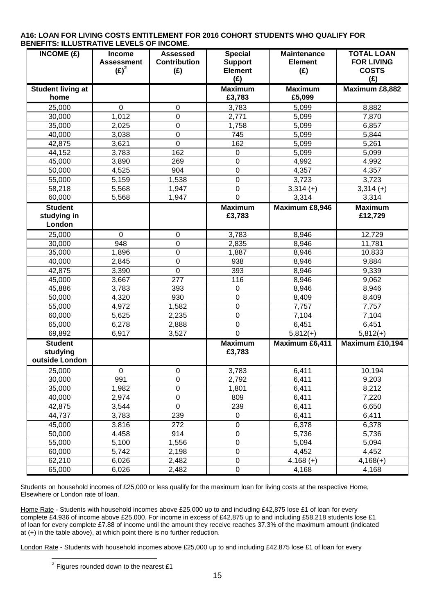| INCOME(E)                                    | Income<br><b>Assessment</b><br>$(E)^2$ | <b>Assessed</b><br><b>Contribution</b><br>(E) | <b>Special</b><br><b>Support</b><br><b>Element</b><br>(E) | <b>Maintenance</b><br><b>Element</b><br>(E) | <b>TOTAL LOAN</b><br><b>FOR LIVING</b><br><b>COSTS</b><br>(E) |
|----------------------------------------------|----------------------------------------|-----------------------------------------------|-----------------------------------------------------------|---------------------------------------------|---------------------------------------------------------------|
| <b>Student living at</b><br>home             |                                        |                                               | <b>Maximum</b><br>£3,783                                  | <b>Maximum</b><br>£5,099                    | Maximum £8,882                                                |
| 25,000                                       | $\mathbf 0$                            | 0                                             | 3,783                                                     | 5,099                                       | 8,882                                                         |
| 30,000                                       | 1,012                                  | 0                                             | 2,771                                                     | 5,099                                       | 7,870                                                         |
| 35,000                                       | 2,025                                  | $\overline{0}$                                | 1,758                                                     | 5,099                                       | 6,857                                                         |
| 40,000                                       | 3,038                                  | 0                                             | 745                                                       | 5,099                                       | 5,844                                                         |
| 42,875                                       | 3,621                                  | 0                                             | 162                                                       | 5,099                                       | 5,261                                                         |
| 44,152                                       | 3,783                                  | 162                                           | $\pmb{0}$                                                 | 5,099                                       | 5,099                                                         |
| 45,000                                       | 3,890                                  | 269                                           | $\mathbf 0$                                               | 4,992                                       | 4,992                                                         |
| 50,000                                       | 4,525                                  | 904                                           | $\mathbf 0$                                               | 4,357                                       | 4,357                                                         |
| 55,000                                       | 5,159                                  | 1,538                                         | $\boldsymbol{0}$                                          | 3,723                                       | 3,723                                                         |
| 58,218                                       | 5,568                                  | 1,947                                         | $\mathbf 0$                                               | $3,314 (+)$                                 | $3,314 (+)$                                                   |
| 60,000                                       | 5,568                                  | 1,947                                         | $\mathbf 0$                                               | 3,314                                       | 3,314                                                         |
| <b>Student</b><br>studying in<br>London      |                                        |                                               | <b>Maximum</b><br>£3,783                                  | Maximum £8,946                              | <b>Maximum</b><br>£12,729                                     |
| 25,000                                       | $\mathbf 0$                            | 0                                             | 3,783                                                     | 8,946                                       | 12,729                                                        |
| 30,000                                       | 948                                    | 0                                             | 2,835                                                     | 8,946                                       | 11,781                                                        |
| 35,000                                       | 1,896                                  | 0                                             | 1,887                                                     | 8,946                                       | 10,833                                                        |
| 40,000                                       | 2,845                                  | 0                                             | 938                                                       | 8,946                                       | 9,884                                                         |
| 42,875                                       | 3,390                                  | $\overline{0}$                                | 393                                                       | 8,946                                       | 9,339                                                         |
| 45,000                                       | 3,667                                  | 277                                           | 116                                                       | 8,946                                       | 9,062                                                         |
| 45,886                                       | 3,783                                  | 393                                           | $\mathbf 0$                                               | 8,946                                       | 8,946                                                         |
| 50,000                                       | 4,320                                  | 930                                           | $\mathbf 0$                                               | 8,409                                       | 8,409                                                         |
| 55,000                                       | 4,972                                  | 1,582                                         | $\mathbf 0$                                               | 7,757                                       | 7,757                                                         |
| 60,000                                       | 5,625                                  | 2,235                                         | $\mathbf 0$                                               | 7,104                                       | 7,104                                                         |
| 65,000                                       | 6,278                                  | 2,888                                         | $\mathbf 0$                                               | 6,451                                       | 6,451                                                         |
| 69,892                                       | 6,917                                  | 3,527                                         | 0                                                         | $5,812(+)$                                  | $5,812(+)$                                                    |
| <b>Student</b><br>studying<br>outside London |                                        |                                               | <b>Maximum</b><br>£3,783                                  | Maximum £6,411                              | Maximum £10,194                                               |
| 25,000                                       | 0                                      | $\mathbf 0$                                   | 3,783                                                     | 6,411                                       | 10,194                                                        |
| 30,000                                       | 991                                    | $\pmb{0}$                                     | 2,792                                                     | 6,411                                       | 9,203                                                         |
| 35,000                                       | 1,982                                  | $\overline{0}$                                | 1,801                                                     | 6,411                                       | 8,212                                                         |
| 40,000                                       | 2,974                                  | $\overline{0}$                                | 809                                                       | 6,411                                       | 7,220                                                         |
| 42,875                                       | 3,544                                  | $\pmb{0}$                                     | 239                                                       | 6,411                                       | 6,650                                                         |
| 44,737                                       | 3,783                                  | 239                                           | $\pmb{0}$                                                 | 6,411                                       | 6,411                                                         |
| 45,000                                       | 3,816                                  | 272                                           | $\mathbf 0$                                               | 6,378                                       | 6,378                                                         |
| 50,000                                       | 4,458                                  | 914                                           | $\mathbf 0$                                               | 5,736                                       | 5,736                                                         |
| 55,000                                       | 5,100                                  | 1,556                                         | $\pmb{0}$                                                 | 5,094                                       | 5,094                                                         |
| 60,000                                       | 5,742                                  | 2,198                                         | $\pmb{0}$                                                 | 4,452                                       | 4,452                                                         |
| 62,210                                       | 6,026                                  | 2,482                                         | 0                                                         | $4,168 (+)$                                 | $4,168(+)$                                                    |
| 65,000                                       | 6,026                                  | 2,482                                         | $\pmb{0}$                                                 | 4,168                                       | 4,168                                                         |

#### **A16: LOAN FOR LIVING COSTS ENTITLEMENT FOR 2016 COHORT STUDENTS WHO QUALIFY FOR BENEFITS: ILLUSTRATIVE LEVELS OF INCOME.**

Students on household incomes of £25,000 or less qualify for the maximum loan for living costs at the respective Home, Elsewhere or London rate of loan.

Home Rate - Students with household incomes above £25,000 up to and including £42,875 lose £1 of loan for every complete £4.936 of income above £25,000. For income in excess of £42,875 up to and including £58,218 students lose £1 of loan for every complete £7.88 of income until the amount they receive reaches 37.3% of the maximum amount (indicated at (+) in the table above), at which point there is no further reduction.

London Rate - Students with household incomes above £25,000 up to and including £42,875 lose £1 of loan for every

<sup>&</sup>lt;u>Figures rounded down to the nearest £1</u>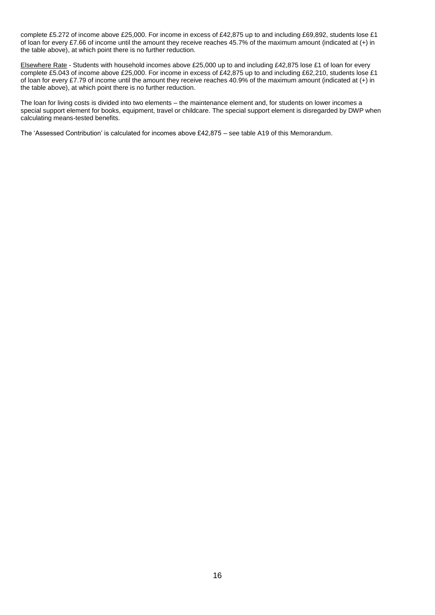complete £5.272 of income above £25,000. For income in excess of £42,875 up to and including £69,892, students lose £1 of loan for every £7.66 of income until the amount they receive reaches 45.7% of the maximum amount (indicated at (+) in the table above), at which point there is no further reduction.

Elsewhere Rate - Students with household incomes above £25,000 up to and including £42,875 lose £1 of loan for every complete £5.043 of income above £25,000. For income in excess of £42,875 up to and including £62,210, students lose £1 of loan for every £7.79 of income until the amount they receive reaches 40.9% of the maximum amount (indicated at (+) in the table above), at which point there is no further reduction.

The loan for living costs is divided into two elements – the maintenance element and, for students on lower incomes a special support element for books, equipment, travel or childcare. The special support element is disregarded by DWP when calculating means-tested benefits.

The 'Assessed Contribution' is calculated for incomes above £42,875 – see table A19 of this Memorandum.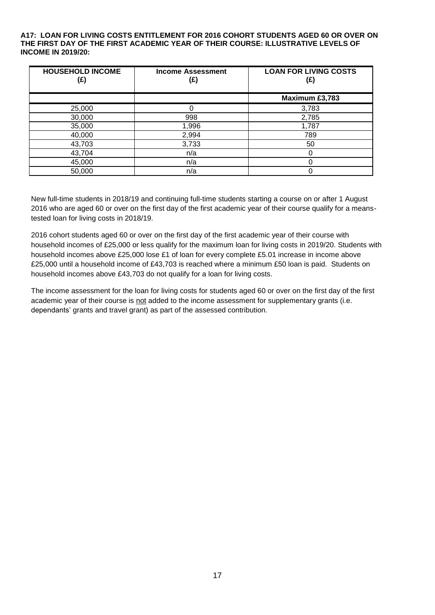#### **A17: LOAN FOR LIVING COSTS ENTITLEMENT FOR 2016 COHORT STUDENTS AGED 60 OR OVER ON THE FIRST DAY OF THE FIRST ACADEMIC YEAR OF THEIR COURSE: ILLUSTRATIVE LEVELS OF INCOME IN 2019/20:**

| <b>HOUSEHOLD INCOME</b><br>(£) | <b>Income Assessment</b><br>(£) | <b>LOAN FOR LIVING COSTS</b><br>(£) |
|--------------------------------|---------------------------------|-------------------------------------|
|                                |                                 | Maximum £3,783                      |
| 25,000                         |                                 | 3,783                               |
| 30,000                         | 998                             | 2,785                               |
| 35,000                         | 1,996                           | 1,787                               |
| 40,000                         | 2,994                           | 789                                 |
| 43,703                         | 3,733                           | 50                                  |
| 43,704                         | n/a                             |                                     |
| 45,000                         | n/a                             |                                     |
| 50,000                         | n/a                             |                                     |

New full-time students in 2018/19 and continuing full-time students starting a course on or after 1 August 2016 who are aged 60 or over on the first day of the first academic year of their course qualify for a meanstested loan for living costs in 2018/19.

2016 cohort students aged 60 or over on the first day of the first academic year of their course with household incomes of £25,000 or less qualify for the maximum loan for living costs in 2019/20. Students with household incomes above £25,000 lose £1 of loan for every complete £5.01 increase in income above £25,000 until a household income of £43,703 is reached where a minimum £50 loan is paid. Students on household incomes above £43,703 do not qualify for a loan for living costs.

The income assessment for the loan for living costs for students aged 60 or over on the first day of the first academic year of their course is not added to the income assessment for supplementary grants (i.e. dependants' grants and travel grant) as part of the assessed contribution.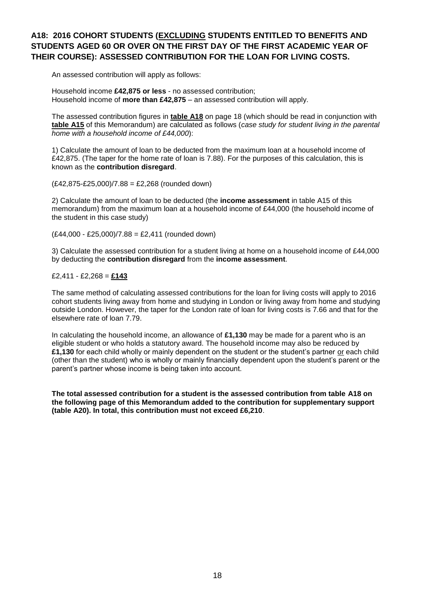### **A18: 2016 COHORT STUDENTS (EXCLUDING STUDENTS ENTITLED TO BENEFITS AND STUDENTS AGED 60 OR OVER ON THE FIRST DAY OF THE FIRST ACADEMIC YEAR OF THEIR COURSE): ASSESSED CONTRIBUTION FOR THE LOAN FOR LIVING COSTS.**

An assessed contribution will apply as follows:

Household income **£42,875 or less** - no assessed contribution; Household income of **more than £42,875** – an assessed contribution will apply.

The assessed contribution figures in **table A18** on page 18 (which should be read in conjunction with **table A15** of this Memorandum) are calculated as follows (*case study for student living in the parental home with a household income of £44,000*):

1) Calculate the amount of loan to be deducted from the maximum loan at a household income of £42,875. (The taper for the home rate of loan is 7.88). For the purposes of this calculation, this is known as the **contribution disregard**.

(£42,875-£25,000)/7.88 = £2,268 (rounded down)

2) Calculate the amount of loan to be deducted (the **income assessment** in table A15 of this memorandum) from the maximum loan at a household income of £44,000 (the household income of the student in this case study)

(£44,000 - £25,000)/7.88 = £2,411 (rounded down)

3) Calculate the assessed contribution for a student living at home on a household income of £44,000 by deducting the **contribution disregard** from the **income assessment**.

#### £2,411 - £2,268 = **£143**

The same method of calculating assessed contributions for the loan for living costs will apply to 2016 cohort students living away from home and studying in London or living away from home and studying outside London. However, the taper for the London rate of loan for living costs is 7.66 and that for the elsewhere rate of loan 7.79.

In calculating the household income, an allowance of **£1,130** may be made for a parent who is an eligible student or who holds a statutory award. The household income may also be reduced by **£1,130** for each child wholly or mainly dependent on the student or the student's partner or each child (other than the student) who is wholly or mainly financially dependent upon the student's parent or the parent's partner whose income is being taken into account.

**The total assessed contribution for a student is the assessed contribution from table A18 on the following page of this Memorandum added to the contribution for supplementary support (table A20). In total, this contribution must not exceed £6,210**.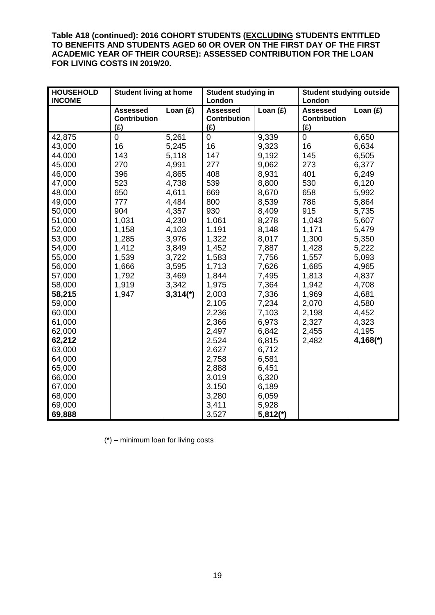**Table A18 (continued): 2016 COHORT STUDENTS (EXCLUDING STUDENTS ENTITLED TO BENEFITS AND STUDENTS AGED 60 OR OVER ON THE FIRST DAY OF THE FIRST ACADEMIC YEAR OF THEIR COURSE): ASSESSED CONTRIBUTION FOR THE LOAN FOR LIVING COSTS IN 2019/20.**

| <b>HOUSEHOLD</b><br><b>INCOME</b> | <b>Student living at home</b>                 |                        | Student studying in<br>London                 |            | <b>Student studying outside</b><br>London     |                        |
|-----------------------------------|-----------------------------------------------|------------------------|-----------------------------------------------|------------|-----------------------------------------------|------------------------|
|                                   | <b>Assessed</b><br><b>Contribution</b><br>(E) | Loan $(f)$             | <b>Assessed</b><br><b>Contribution</b><br>(E) | Loan $(f)$ | <b>Assessed</b><br><b>Contribution</b><br>(E) | Loan $(f)$             |
| 42,875                            | $\pmb{0}$                                     | 5,261                  | $\mathbf 0$                                   | 9,339      | $\pmb{0}$                                     | 6,650                  |
| 43,000                            | 16                                            | 5,245                  | 16                                            | 9,323      | 16                                            | 6,634                  |
| 44,000                            | 143                                           | 5,118                  | 147                                           | 9,192      | 145                                           | 6,505                  |
| 45,000                            | 270                                           | 4,991                  | 277                                           | 9,062      | 273                                           | 6,377                  |
| 46,000                            | 396                                           | 4,865                  | 408                                           | 8,931      | 401                                           | 6,249                  |
| 47,000                            | 523                                           | 4,738                  | 539                                           | 8,800      | 530                                           | 6,120                  |
| 48,000                            | 650                                           | 4,611                  | 669                                           | 8,670      | 658                                           | 5,992                  |
| 49,000                            | 777                                           | 4,484                  | 800                                           | 8,539      | 786                                           | 5,864                  |
| 50,000                            | 904                                           | 4,357                  | 930                                           | 8,409      | 915                                           | 5,735                  |
| 51,000                            | 1,031                                         | 4,230                  | 1,061                                         | 8,278      | 1,043                                         | 5,607                  |
| 52,000                            | 1,158                                         | 4,103                  | 1,191                                         | 8,148      | 1,171                                         | 5,479                  |
| 53,000                            | 1,285                                         | 3,976                  | 1,322                                         | 8,017      | 1,300                                         | 5,350                  |
| 54,000                            | 1,412                                         | 3,849                  | 1,452                                         | 7,887      | 1,428                                         | 5,222                  |
| 55,000                            | 1,539                                         | 3,722                  | 1,583                                         | 7,756      | 1,557                                         | 5,093                  |
| 56,000                            | 1,666                                         | 3,595                  | 1,713                                         | 7,626      | 1,685                                         | 4,965                  |
| 57,000                            | 1,792                                         | 3,469                  | 1,844                                         | 7,495      | 1,813                                         | 4,837                  |
| 58,000                            | 1,919                                         | 3,342                  | 1,975                                         | 7,364      | 1,942                                         | 4,708                  |
| 58,215                            | 1,947                                         | $3,314$ <sup>*</sup> ) | 2,003                                         | 7,336      | 1,969                                         | 4,681                  |
| 59,000                            |                                               |                        | 2,105                                         | 7,234      | 2,070                                         | 4,580                  |
| 60,000                            |                                               |                        | 2,236                                         | 7,103      | 2,198                                         | 4,452                  |
| 61,000                            |                                               |                        | 2,366                                         | 6,973      | 2,327                                         | 4,323                  |
| 62,000                            |                                               |                        | 2,497                                         | 6,842      | 2,455                                         | 4,195                  |
| 62,212                            |                                               |                        | 2,524                                         | 6,815      | 2,482                                         | $4,168$ <sup>*</sup> ) |
| 63,000                            |                                               |                        | 2,627                                         | 6,712      |                                               |                        |
| 64,000                            |                                               |                        | 2,758                                         | 6,581      |                                               |                        |
| 65,000                            |                                               |                        | 2,888                                         | 6,451      |                                               |                        |
| 66,000                            |                                               |                        | 3,019                                         | 6,320      |                                               |                        |
| 67,000                            |                                               |                        | 3,150                                         | 6,189      |                                               |                        |
| 68,000                            |                                               |                        | 3,280                                         | 6,059      |                                               |                        |
| 69,000                            |                                               |                        | 3,411                                         | 5,928      |                                               |                        |
| 69,888                            |                                               |                        | 3,527                                         | $5,812(*)$ |                                               |                        |

(\*) – minimum loan for living costs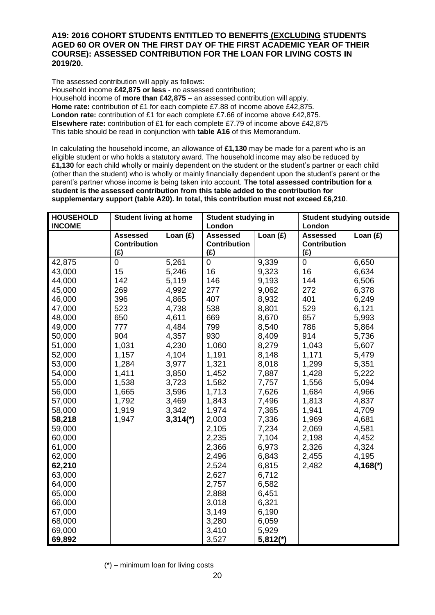#### **A19: 2016 COHORT STUDENTS ENTITLED TO BENEFITS (EXCLUDING STUDENTS AGED 60 OR OVER ON THE FIRST DAY OF THE FIRST ACADEMIC YEAR OF THEIR COURSE): ASSESSED CONTRIBUTION FOR THE LOAN FOR LIVING COSTS IN 2019/20.**

The assessed contribution will apply as follows:

Household income **£42,875 or less** - no assessed contribution; Household income of **more than £42,875** – an assessed contribution will apply. **Home rate:** contribution of £1 for each complete £7.88 of income above £42,875. **London rate:** contribution of £1 for each complete £7.66 of income above £42,875. **Elsewhere rate:** contribution of £1 for each complete £7.79 of income above £42,875 This table should be read in conjunction with **table A16** of this Memorandum.

In calculating the household income, an allowance of **£1,130** may be made for a parent who is an eligible student or who holds a statutory award. The household income may also be reduced by **£1,130** for each child wholly or mainly dependent on the student or the student's partner or each child (other than the student) who is wholly or mainly financially dependent upon the student's parent or the parent's partner whose income is being taken into account. **The total assessed contribution for a student is the assessed contribution from this table added to the contribution for supplementary support (table A20). In total, this contribution must not exceed £6,210**.

| <b>HOUSEHOLD</b><br><b>INCOME</b> | <b>Student living at home</b>                 |                        | <b>Student studying in</b><br>London          |            | <b>Student studying outside</b><br>London     |             |
|-----------------------------------|-----------------------------------------------|------------------------|-----------------------------------------------|------------|-----------------------------------------------|-------------|
|                                   | <b>Assessed</b><br><b>Contribution</b><br>(E) | Loan $(f)$             | <b>Assessed</b><br><b>Contribution</b><br>(E) | Loan $(f)$ | <b>Assessed</b><br><b>Contribution</b><br>(E) | Loan $(f)$  |
| 42,875                            | 0                                             | 5,261                  | 0                                             | 9,339      | 0                                             | 6,650       |
| 43,000                            | 15                                            | 5,246                  | 16                                            | 9,323      | 16                                            | 6,634       |
| 44,000                            | 142                                           | 5,119                  | 146                                           | 9,193      | 144                                           | 6,506       |
| 45,000                            | 269                                           | 4,992                  | 277                                           | 9,062      | 272                                           | 6,378       |
| 46,000                            | 396                                           | 4,865                  | 407                                           | 8,932      | 401                                           | 6,249       |
| 47,000                            | 523                                           | 4,738                  | 538                                           | 8,801      | 529                                           | 6,121       |
| 48,000                            | 650                                           | 4,611                  | 669                                           | 8,670      | 657                                           | 5,993       |
| 49,000                            | 777                                           | 4,484                  | 799                                           | 8,540      | 786                                           | 5,864       |
| 50,000                            | 904                                           | 4,357                  | 930                                           | 8,409      | 914                                           | 5,736       |
| 51,000                            | 1,031                                         | 4,230                  | 1,060                                         | 8,279      | 1,043                                         | 5,607       |
| 52,000                            | 1,157                                         | 4,104                  | 1,191                                         | 8,148      | 1,171                                         | 5,479       |
| 53,000                            | 1,284                                         | 3,977                  | 1,321                                         | 8,018      | 1,299                                         | 5,351       |
| 54,000                            | 1,411                                         | 3,850                  | 1,452                                         | 7,887      | 1,428                                         | 5,222       |
| 55,000                            | 1,538                                         | 3,723                  | 1,582                                         | 7,757      | 1,556                                         | 5,094       |
| 56,000                            | 1,665                                         | 3,596                  | 1,713                                         | 7,626      | 1,684                                         | 4,966       |
| 57,000                            | 1,792                                         | 3,469                  | 1,843                                         | 7,496      | 1,813                                         | 4,837       |
| 58,000                            | 1,919                                         | 3,342                  | 1,974                                         | 7,365      | 1,941                                         | 4,709       |
| 58,218                            | 1,947                                         | $3,314$ <sup>*</sup> ) | 2,003                                         | 7,336      | 1,969                                         | 4,681       |
| 59,000                            |                                               |                        | 2,105                                         | 7,234      | 2,069                                         | 4,581       |
| 60,000                            |                                               |                        | 2,235                                         | 7,104      | 2,198                                         | 4,452       |
| 61,000                            |                                               |                        | 2,366                                         | 6,973      | 2,326                                         | 4,324       |
| 62,000                            |                                               |                        | 2,496                                         | 6,843      | 2,455                                         | 4,195       |
| 62,210                            |                                               |                        | 2,524                                         | 6,815      | 2,482                                         | $4,168$ (*) |
| 63,000                            |                                               |                        | 2,627                                         | 6,712      |                                               |             |
| 64,000                            |                                               |                        | 2,757                                         | 6,582      |                                               |             |
| 65,000                            |                                               |                        | 2,888                                         | 6,451      |                                               |             |
| 66,000                            |                                               |                        | 3,018                                         | 6,321      |                                               |             |
| 67,000                            |                                               |                        | 3,149                                         | 6,190      |                                               |             |
| 68,000                            |                                               |                        | 3,280                                         | 6,059      |                                               |             |
| 69,000                            |                                               |                        | 3,410                                         | 5,929      |                                               |             |
| 69,892                            |                                               |                        | 3,527                                         | $5,812(*)$ |                                               |             |

(\*) – minimum loan for living costs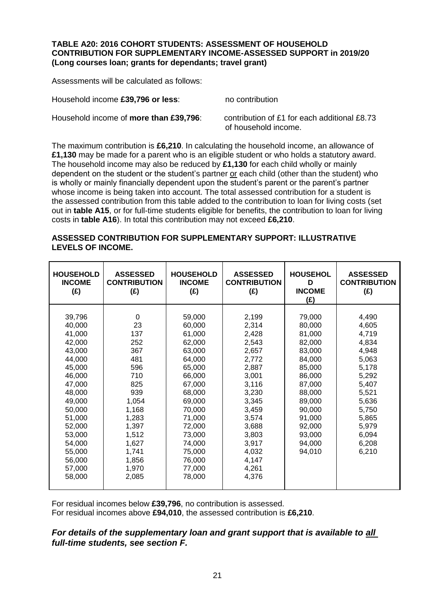#### **TABLE A20: 2016 COHORT STUDENTS: ASSESSMENT OF HOUSEHOLD CONTRIBUTION FOR SUPPLEMENTARY INCOME-ASSESSED SUPPORT in 2019/20 (Long courses loan; grants for dependants; travel grant)**

Assessments will be calculated as follows:

Household income £39,796 or less: no contribution

Household income of **more than £39,796**: contribution of £1 for each additional £8.73 of household income.

The maximum contribution is **£6,210**. In calculating the household income, an allowance of **£1,130** may be made for a parent who is an eligible student or who holds a statutory award. The household income may also be reduced by **£1,130** for each child wholly or mainly dependent on the student or the student's partner or each child (other than the student) who is wholly or mainly financially dependent upon the student's parent or the parent's partner whose income is being taken into account. The total assessed contribution for a student is the assessed contribution from this table added to the contribution to loan for living costs (set out in **table A15**, or for full-time students eligible for benefits, the contribution to loan for living costs in **table A16**). In total this contribution may not exceed **£6,210**.

#### **ASSESSED CONTRIBUTION FOR SUPPLEMENTARY SUPPORT: ILLUSTRATIVE LEVELS OF INCOME.**

| <b>HOUSEHOLD</b><br><b>INCOME</b><br>(E)                                                                                                                                                             | <b>ASSESSED</b><br><b>CONTRIBUTION</b><br>(E)                                                                                                                    | <b>HOUSEHOLD</b><br><b>INCOME</b><br>(E)                                                                                                                                                             | <b>ASSESSED</b><br><b>CONTRIBUTION</b><br>(f)                                                                                                                                    | <b>HOUSEHOL</b><br>D<br><b>INCOME</b><br>(f)                                                                                                                           | <b>ASSESSED</b><br><b>CONTRIBUTION</b><br>(f)                                                                                                         |
|------------------------------------------------------------------------------------------------------------------------------------------------------------------------------------------------------|------------------------------------------------------------------------------------------------------------------------------------------------------------------|------------------------------------------------------------------------------------------------------------------------------------------------------------------------------------------------------|----------------------------------------------------------------------------------------------------------------------------------------------------------------------------------|------------------------------------------------------------------------------------------------------------------------------------------------------------------------|-------------------------------------------------------------------------------------------------------------------------------------------------------|
| 39,796<br>40,000<br>41,000<br>42,000<br>43,000<br>44,000<br>45,000<br>46,000<br>47,000<br>48,000<br>49,000<br>50,000<br>51,000<br>52,000<br>53,000<br>54,000<br>55,000<br>56,000<br>57,000<br>58,000 | $\Omega$<br>23<br>137<br>252<br>367<br>481<br>596<br>710<br>825<br>939<br>1,054<br>1,168<br>1,283<br>1,397<br>1,512<br>1,627<br>1,741<br>1,856<br>1,970<br>2,085 | 59,000<br>60,000<br>61,000<br>62,000<br>63,000<br>64,000<br>65,000<br>66,000<br>67,000<br>68,000<br>69,000<br>70,000<br>71,000<br>72,000<br>73,000<br>74,000<br>75,000<br>76,000<br>77,000<br>78,000 | 2,199<br>2,314<br>2,428<br>2,543<br>2,657<br>2,772<br>2,887<br>3,001<br>3,116<br>3,230<br>3,345<br>3,459<br>3,574<br>3,688<br>3,803<br>3,917<br>4,032<br>4,147<br>4,261<br>4,376 | 79,000<br>80,000<br>81,000<br>82,000<br>83,000<br>84,000<br>85,000<br>86,000<br>87,000<br>88,000<br>89,000<br>90,000<br>91,000<br>92,000<br>93,000<br>94,000<br>94,010 | 4,490<br>4,605<br>4,719<br>4,834<br>4,948<br>5,063<br>5,178<br>5,292<br>5,407<br>5,521<br>5,636<br>5,750<br>5,865<br>5,979<br>6,094<br>6,208<br>6,210 |

For residual incomes below **£39,796**, no contribution is assessed. For residual incomes above **£94,010**, the assessed contribution is **£6,210**.

### *For details of the supplementary loan and grant support that is available to all full-time students, see section F.*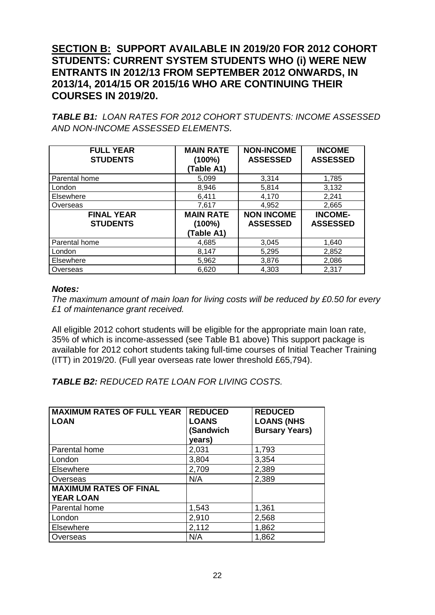# **SECTION B: SUPPORT AVAILABLE IN 2019/20 FOR 2012 COHORT STUDENTS: CURRENT SYSTEM STUDENTS WHO (i) WERE NEW ENTRANTS IN 2012/13 FROM SEPTEMBER 2012 ONWARDS, IN 2013/14, 2014/15 OR 2015/16 WHO ARE CONTINUING THEIR COURSES IN 2019/20.**

*TABLE B1: LOAN RATES FOR 2012 COHORT STUDENTS: INCOME ASSESSED AND NON-INCOME ASSESSED ELEMENTS.*

| <b>FULL YEAR</b><br><b>STUDENTS</b>  | <b>MAIN RATE</b><br>(100%)<br>(Table A1)    | <b>NON-INCOME</b><br><b>ASSESSED</b> | <b>INCOME</b><br><b>ASSESSED</b>  |
|--------------------------------------|---------------------------------------------|--------------------------------------|-----------------------------------|
| Parental home                        | 5.099                                       | 3,314                                | 1,785                             |
| London                               | 8,946                                       | 5,814                                | 3,132                             |
| Elsewhere                            | 6,411                                       | 4,170                                | 2,241                             |
| Overseas                             | 7,617                                       | 4,952                                | 2,665                             |
| <b>FINAL YEAR</b><br><b>STUDENTS</b> | <b>MAIN RATE</b><br>$(100\%)$<br>(Table A1) | <b>NON INCOME</b><br><b>ASSESSED</b> | <b>INCOME-</b><br><b>ASSESSED</b> |
| Parental home                        | 4,685                                       | 3,045                                | 1,640                             |
| London                               | 8,147                                       | 5,295                                | 2,852                             |
| Elsewhere                            | 5,962                                       | 3,876                                | 2,086                             |
| Overseas                             | 6,620                                       | 4,303                                | 2,317                             |

### *Notes:*

*The maximum amount of main loan for living costs will be reduced by £0.50 for every £1 of maintenance grant received.* 

All eligible 2012 cohort students will be eligible for the appropriate main loan rate, 35% of which is income-assessed (see Table B1 above) This support package is available for 2012 cohort students taking full-time courses of Initial Teacher Training (ITT) in 2019/20. (Full year overseas rate lower threshold £65,794).

*TABLE B2: REDUCED RATE LOAN FOR LIVING COSTS.*

| <b>MAXIMUM RATES OF FULL YEAR</b><br><b>LOAN</b>  | <b>REDUCED</b><br><b>LOANS</b><br>(Sandwich<br>years) | <b>REDUCED</b><br><b>LOANS (NHS</b><br><b>Bursary Years)</b> |
|---------------------------------------------------|-------------------------------------------------------|--------------------------------------------------------------|
| Parental home                                     | 2,031                                                 | 1,793                                                        |
| London                                            | 3,804                                                 | 3,354                                                        |
| <b>Elsewhere</b>                                  | 2,709                                                 | 2,389                                                        |
| Overseas                                          | N/A                                                   | 2,389                                                        |
| <b>MAXIMUM RATES OF FINAL</b><br><b>YEAR LOAN</b> |                                                       |                                                              |
| Parental home                                     | 1,543                                                 | 1,361                                                        |
| London                                            | 2,910                                                 | 2,568                                                        |
| Elsewhere                                         | 2,112                                                 | 1,862                                                        |
| Overseas                                          | N/A                                                   | 1,862                                                        |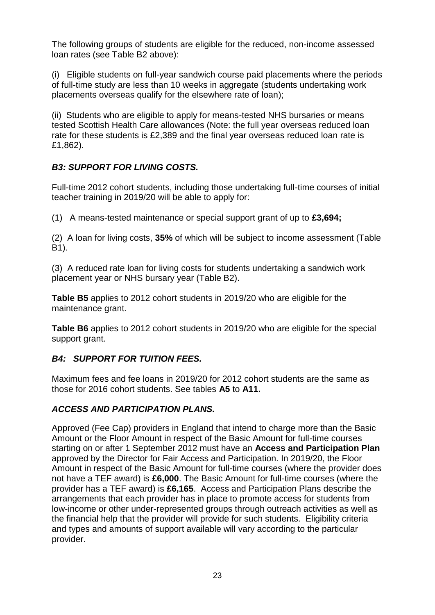The following groups of students are eligible for the reduced, non-income assessed loan rates (see Table B2 above):

(i) Eligible students on full-year sandwich course paid placements where the periods of full-time study are less than 10 weeks in aggregate (students undertaking work placements overseas qualify for the elsewhere rate of loan);

(ii) Students who are eligible to apply for means-tested NHS bursaries or means tested Scottish Health Care allowances (Note: the full year overseas reduced loan rate for these students is £2,389 and the final year overseas reduced loan rate is £1,862).

# *B3: SUPPORT FOR LIVING COSTS.*

Full-time 2012 cohort students, including those undertaking full-time courses of initial teacher training in 2019/20 will be able to apply for:

(1) A means-tested maintenance or special support grant of up to **£3,694;**

(2) A loan for living costs, **35%** of which will be subject to income assessment (Table B1).

(3) A reduced rate loan for living costs for students undertaking a sandwich work placement year or NHS bursary year (Table B2).

**Table B5** applies to 2012 cohort students in 2019/20 who are eligible for the maintenance grant.

**Table B6** applies to 2012 cohort students in 2019/20 who are eligible for the special support grant.

## *B4: SUPPORT FOR TUITION FEES.*

Maximum fees and fee loans in 2019/20 for 2012 cohort students are the same as those for 2016 cohort students. See tables **A5** to **A11.**

## *ACCESS AND PARTICIPATION PLANS.*

Approved (Fee Cap) providers in England that intend to charge more than the Basic Amount or the Floor Amount in respect of the Basic Amount for full-time courses starting on or after 1 September 2012 must have an **Access and Participation Plan**  approved by the Director for Fair Access and Participation. In 2019/20, the Floor Amount in respect of the Basic Amount for full-time courses (where the provider does not have a TEF award) is **£6,000**. The Basic Amount for full-time courses (where the provider has a TEF award) is **£6,165**. Access and Participation Plans describe the arrangements that each provider has in place to promote access for students from low-income or other under-represented groups through outreach activities as well as the financial help that the provider will provide for such students. Eligibility criteria and types and amounts of support available will vary according to the particular provider.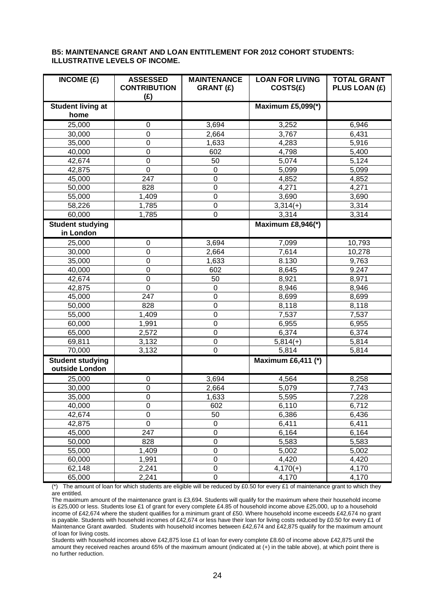#### **B5: MAINTENANCE GRANT AND LOAN ENTITLEMENT FOR 2012 COHORT STUDENTS: ILLUSTRATIVE LEVELS OF INCOME.**

| INCOME(E)                                 | <b>ASSESSED</b><br><b>CONTRIBUTION</b><br>(E) | <b>MAINTENANCE</b><br><b>GRANT (£)</b> | <b>LOAN FOR LIVING</b><br>COSTS(E) | <b>TOTAL GRANT</b><br>PLUS LOAN (£) |
|-------------------------------------------|-----------------------------------------------|----------------------------------------|------------------------------------|-------------------------------------|
| <b>Student living at</b>                  |                                               |                                        | Maximum £5,099(*)                  |                                     |
| home                                      |                                               |                                        |                                    |                                     |
| 25,000                                    | 0                                             | 3,694                                  | 3,252                              | 6,946                               |
| 30,000                                    | $\mathbf 0$                                   | 2,664                                  | 3,767                              | 6,431                               |
| 35,000                                    | $\mathbf 0$                                   | 1,633                                  | 4,283                              | 5,916                               |
| 40,000                                    | $\mathbf 0$                                   | 602                                    | 4,798                              | 5,400                               |
| 42,674                                    | $\mathbf 0$                                   | 50                                     | 5,074                              | 5,124                               |
| 42,875                                    | $\mathbf 0$                                   | $\pmb{0}$                              | 5,099                              | 5,099                               |
| 45,000                                    | 247                                           | $\mathbf 0$                            | 4,852                              | 4,852                               |
| 50,000                                    | 828                                           | $\boldsymbol{0}$                       | 4,271                              | 4,271                               |
| 55,000                                    | 1,409                                         | $\boldsymbol{0}$                       | 3,690                              | 3,690                               |
| 58,226                                    | 1,785                                         | $\mathbf 0$                            | $3,314(+)$                         | 3,314                               |
| 60,000                                    | 1,785                                         | $\overline{0}$                         | 3,314                              | 3,314                               |
|                                           |                                               |                                        |                                    |                                     |
| <b>Student studying</b><br>in London      |                                               |                                        | Maximum £8,946(*)                  |                                     |
|                                           |                                               |                                        |                                    |                                     |
| 25,000                                    | $\boldsymbol{0}$                              | 3,694                                  | 7,099                              | 10,793                              |
| 30,000                                    | $\mathbf 0$                                   | 2,664                                  | 7,614                              | 10,278                              |
| 35,000                                    | $\mathbf 0$                                   | 1,633                                  | 8.130                              | 9,763                               |
| 40,000                                    | $\mathbf 0$                                   | 602                                    | 8,645                              | 9.247                               |
| 42,674                                    | $\mathbf 0$                                   | 50                                     | 8,921                              | 8,971                               |
| 42,875                                    | $\overline{0}$                                | $\mathbf 0$                            | 8,946                              | 8,946                               |
| 45,000                                    | 247                                           | $\mathbf 0$                            | 8,699                              | 8,699                               |
| 50,000                                    | 828                                           | $\mathbf 0$                            | 8,118                              | 8,118                               |
| 55,000                                    | 1,409                                         | $\mathbf 0$                            | 7,537                              | 7,537                               |
| 60,000                                    | 1,991                                         | $\boldsymbol{0}$                       | 6,955                              | 6,955                               |
| 65,000                                    | 2,572                                         | $\mathbf 0$                            | 6,374                              | 6,374                               |
| 69,811                                    | 3,132                                         | $\mathbf 0$                            | $5,814(+)$                         | 5,814                               |
| 70,000                                    | 3,132                                         | $\mathbf 0$                            | 5,814                              | 5,814                               |
| <b>Student studying</b><br>outside London |                                               |                                        | <b>Maximum £6,411 (*)</b>          |                                     |
| 25,000                                    | 0                                             | 3,694                                  | 4,564                              | 8,258                               |
| 30,000                                    | $\mathbf 0$                                   | 2,664                                  | 5,079                              | 7,743                               |
| 35,000                                    | $\mathbf 0$                                   | 1,633                                  | 5,595                              | 7,228                               |
| 40,000                                    | $\mathbf 0$                                   | 602                                    | 6,110                              | 6,712                               |
| 42,674                                    | $\mathbf 0$                                   | 50                                     | 6,386                              | 6,436                               |
| 42,875                                    | $\mathbf 0$                                   | $\pmb{0}$                              | 6,411                              | 6,411                               |
| 45,000                                    | 247                                           | $\overline{0}$                         | 6,164                              | 6,164                               |
| 50,000                                    | 828                                           | $\overline{0}$                         | 5,583                              | 5,583                               |
| 55,000                                    | 1,409                                         | $\mathbf 0$                            | 5,002                              | 5,002                               |
| 60,000                                    | 1,991                                         | $\mathbf 0$                            | 4,420                              | 4,420                               |
| 62,148                                    | 2,241                                         | $\mathbf 0$                            | $4,170(+)$                         | 4,170                               |
| 65,000                                    | 2,241                                         | $\mathsf 0$                            | 4,170                              | 4,170                               |

(\*) The amount of loan for which students are eligible will be reduced by £0.50 for every £1 of maintenance grant to which they are entitled.

The maximum amount of the maintenance grant is £3,694. Students will qualify for the maximum where their household income is £25,000 or less. Students lose £1 of grant for every complete £4.85 of household income above £25,000, up to a household income of £42,674 where the student qualifies for a minimum grant of £50. Where household income exceeds £42,674 no grant is payable. Students with household incomes of £42,674 or less have their loan for living costs reduced by £0.50 for every £1 of Maintenance Grant awarded. Students with household incomes between £42,674 and £42,875 qualify for the maximum amount of loan for living costs.

Students with household incomes above £42,875 lose £1 of loan for every complete £8.60 of income above £42,875 until the amount they received reaches around 65% of the maximum amount (indicated at (+) in the table above), at which point there is no further reduction.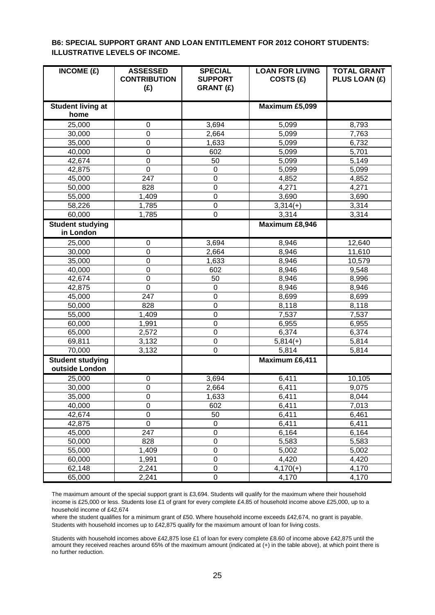#### **B6: SPECIAL SUPPORT GRANT AND LOAN ENTITLEMENT FOR 2012 COHORT STUDENTS: ILLUSTRATIVE LEVELS OF INCOME.**

| INCOME $(E)$                              | <b>ASSESSED</b><br><b>CONTRIBUTION</b><br>(E) | <b>SPECIAL</b><br><b>SUPPORT</b><br><b>GRANT (£)</b> | <b>LOAN FOR LIVING</b><br>COSTS (£) | <b>TOTAL GRANT</b><br>PLUS LOAN (£) |
|-------------------------------------------|-----------------------------------------------|------------------------------------------------------|-------------------------------------|-------------------------------------|
| <b>Student living at</b><br>home          |                                               |                                                      | Maximum £5,099                      |                                     |
| 25,000                                    | 0                                             | 3,694                                                | 5,099                               | 8,793                               |
| 30,000                                    | $\mathbf 0$                                   | 2,664                                                | 5,099                               | 7,763                               |
| 35,000                                    | $\pmb{0}$                                     | 1,633                                                | 5,099                               | 6,732                               |
| 40,000                                    | $\pmb{0}$                                     | 602                                                  | 5,099                               | 5,701                               |
| 42,674                                    | $\mathbf 0$                                   | 50                                                   | 5,099                               | 5,149                               |
| 42,875                                    | $\mathbf 0$                                   | 0                                                    | 5,099                               | 5,099                               |
| 45,000                                    | 247                                           | $\mathbf 0$                                          | 4,852                               | 4,852                               |
| 50,000                                    | 828                                           | $\mathbf 0$                                          | 4,271                               | 4,271                               |
| 55,000                                    | 1,409                                         | 0                                                    | 3,690                               | 3,690                               |
| 58,226                                    | 1,785                                         | 0                                                    | $3,314(+)$                          | 3,314                               |
| 60,000                                    | 1,785                                         | 0                                                    | 3,314                               | 3,314                               |
| <b>Student studying</b>                   |                                               |                                                      | Maximum £8,946                      |                                     |
| in London                                 |                                               |                                                      |                                     |                                     |
| 25,000                                    | 0                                             | 3,694                                                | 8,946                               | 12,640                              |
| 30,000                                    | 0                                             | 2,664                                                | 8,946                               | 11,610                              |
| 35,000                                    | $\mathbf 0$                                   | 1,633                                                | 8,946                               | 10,579                              |
| 40,000                                    | $\mathbf 0$                                   | 602                                                  | 8,946                               | 9,548                               |
| 42,674                                    | $\pmb{0}$                                     | 50                                                   | 8,946                               | 8,996                               |
| 42,875                                    | $\mathbf 0$                                   | 0                                                    | 8,946                               | 8,946                               |
| 45,000                                    | 247                                           | 0                                                    | 8,699                               | 8,699                               |
| 50,000                                    | 828                                           | $\mathbf 0$                                          | 8,118                               | 8,118                               |
| 55,000                                    | 1,409                                         | $\overline{0}$                                       | 7,537                               | 7,537                               |
| 60,000                                    | 1,991                                         | $\mathbf 0$                                          | 6,955                               | 6,955                               |
| 65,000                                    | 2,572                                         | 0                                                    | 6,374                               | 6,374                               |
| 69,811                                    | 3,132                                         | 0                                                    | $5,814(+)$                          | 5,814                               |
| 70,000                                    | 3,132                                         | 0                                                    | 5,814                               | 5,814                               |
| <b>Student studying</b><br>outside London |                                               |                                                      | Maximum £6,411                      |                                     |
| 25,000                                    | 0                                             | 3,694                                                | 6,411                               | 10,105                              |
| 30,000                                    | $\mathbf 0$                                   | 2,664                                                | 6,411                               | 9,075                               |
| 35,000                                    | $\mathbf 0$                                   | 1,633                                                | 6,411                               | 8,044                               |
| 40,000                                    | $\mathbf 0$                                   | 602                                                  | 6,411                               | 7,013                               |
| 42,674                                    | $\pmb{0}$                                     | 50                                                   | 6,411                               | 6,461                               |
| 42,875                                    | $\pmb{0}$                                     | 0                                                    | 6,411                               | 6,411                               |
| 45,000                                    | 247                                           | $\mathbf 0$                                          | 6,164                               | 6,164                               |
| 50,000                                    | 828                                           | $\mathbf 0$                                          | 5,583                               | 5,583                               |
| 55,000                                    | 1,409                                         | $\overline{0}$                                       | 5,002                               | 5,002                               |
| 60,000                                    | 1,991                                         | $\mathbf 0$                                          | 4,420                               | 4,420                               |
| 62,148                                    | 2,241                                         | 0                                                    | $4,170(+)$                          | 4,170                               |
| 65,000                                    | 2,241                                         | 0                                                    | 4,170                               | 4,170                               |

The maximum amount of the special support grant is £3,694. Students will qualify for the maximum where their household income is £25,000 or less. Students lose £1 of grant for every complete £4.85 of household income above £25,000, up to a household income of £42,674

where the student qualifies for a minimum grant of £50. Where household income exceeds £42,674, no grant is payable. Students with household incomes up to £42,875 qualify for the maximum amount of loan for living costs.

Students with household incomes above £42,875 lose £1 of loan for every complete £8.60 of income above £42,875 until the amount they received reaches around 65% of the maximum amount (indicated at (+) in the table above), at which point there is no further reduction.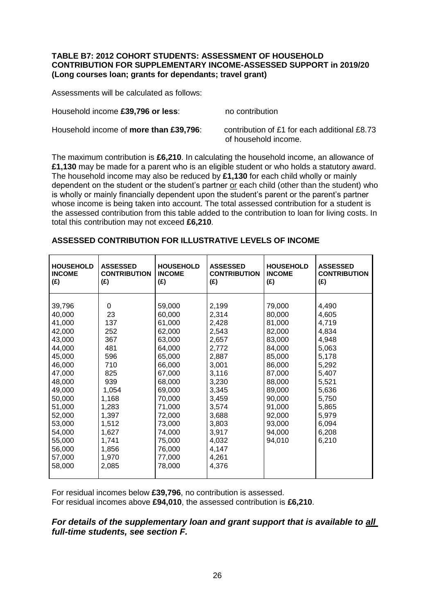#### **TABLE B7: 2012 COHORT STUDENTS: ASSESSMENT OF HOUSEHOLD CONTRIBUTION FOR SUPPLEMENTARY INCOME-ASSESSED SUPPORT in 2019/20 (Long courses loan; grants for dependants; travel grant)**

Assessments will be calculated as follows:

Household income £39,796 or less: no contribution

Household income of **more than £39,796**: contribution of £1 for each additional £8.73

of household income.

The maximum contribution is **£6,210**. In calculating the household income, an allowance of **£1,130** may be made for a parent who is an eligible student or who holds a statutory award. The household income may also be reduced by **£1,130** for each child wholly or mainly dependent on the student or the student's partner or each child (other than the student) who is wholly or mainly financially dependent upon the student's parent or the parent's partner whose income is being taken into account. The total assessed contribution for a student is the assessed contribution from this table added to the contribution to loan for living costs. In total this contribution may not exceed **£6,210**.

| <b>HOUSEHOLD</b>                     | <b>ASSESSED</b>                  | <b>HOUSEHOLD</b>                     | <b>ASSESSED</b>                  | <b>HOUSEHOLD</b> | <b>ASSESSED</b>     |
|--------------------------------------|----------------------------------|--------------------------------------|----------------------------------|------------------|---------------------|
| <b>INCOME</b>                        | <b>CONTRIBUTION</b>              | <b>INCOME</b>                        | <b>CONTRIBUTION</b>              | <b>INCOME</b>    | <b>CONTRIBUTION</b> |
| (E)                                  | (E)                              | (E)                                  | (E)                              | (E)              | (E)                 |
| 39,796                               | 0                                | 59,000                               | 2,199                            | 79,000           | 4,490               |
| 40,000                               | 23                               | 60,000                               | 2,314                            | 80,000           | 4,605               |
| 41,000                               | 137                              | 61,000                               | 2,428                            | 81,000           | 4,719               |
| 42,000                               | 252                              | 62,000                               | 2,543                            | 82,000           | 4,834               |
| 43,000                               | 367                              | 63,000                               | 2,657                            | 83,000           | 4,948               |
| 44,000                               | 481                              | 64,000                               | 2,772                            | 84,000           | 5,063               |
| 45,000                               | 596                              | 65,000                               | 2,887                            | 85,000           | 5,178               |
| 46,000                               | 710                              | 66,000                               | 3,001                            | 86,000           | 5,292               |
| 47,000                               | 825                              | 67,000                               | 3,116                            | 87,000           | 5,407               |
| 48,000                               | 939                              | 68,000                               | 3,230                            | 88,000           | 5,521               |
| 49,000                               | 1,054                            | 69,000                               | 3,345                            | 89,000           | 5,636               |
| 50,000                               | 1,168                            | 70,000                               | 3,459                            | 90,000           | 5,750               |
| 51,000                               | 1,283                            | 71,000                               | 3,574                            | 91,000           | 5,865               |
| 52,000                               | 1,397                            | 72,000                               | 3,688                            | 92,000           | 5,979               |
| 53,000                               | 1,512                            | 73,000                               | 3,803                            | 93,000           | 6,094               |
| 54,000<br>55,000<br>56,000<br>57,000 | 1,627<br>1,741<br>1,856<br>1,970 | 74,000<br>75,000<br>76,000<br>77,000 | 3,917<br>4,032<br>4,147<br>4,261 | 94,000<br>94,010 | 6,208<br>6,210      |
| 58,000                               | 2,085                            | 78,000                               | 4,376                            |                  |                     |

#### **ASSESSED CONTRIBUTION FOR ILLUSTRATIVE LEVELS OF INCOME**

For residual incomes below **£39,796**, no contribution is assessed. For residual incomes above **£94,010**, the assessed contribution is **£6,210**.

### *For details of the supplementary loan and grant support that is available to all full-time students, see section F.*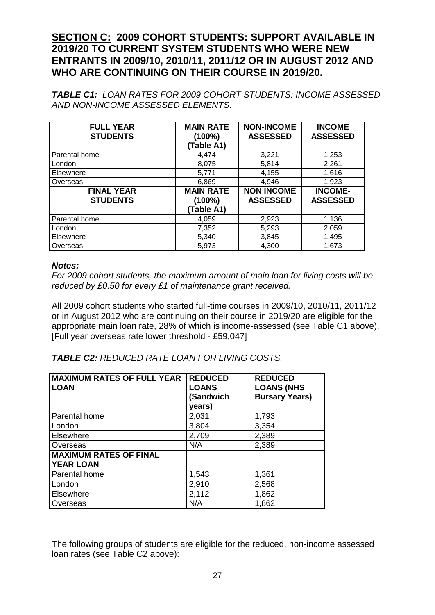# **SECTION C: 2009 COHORT STUDENTS: SUPPORT AVAILABLE IN 2019/20 TO CURRENT SYSTEM STUDENTS WHO WERE NEW ENTRANTS IN 2009/10, 2010/11, 2011/12 OR IN AUGUST 2012 AND WHO ARE CONTINUING ON THEIR COURSE IN 2019/20.**

*TABLE C1: LOAN RATES FOR 2009 COHORT STUDENTS: INCOME ASSESSED AND NON-INCOME ASSESSED ELEMENTS.*

| <b>FULL YEAR</b><br><b>STUDENTS</b>  | <b>MAIN RATE</b><br>(100%)<br>(Table A1)    | <b>NON-INCOME</b><br><b>ASSESSED</b> | <b>INCOME</b><br><b>ASSESSED</b>  |
|--------------------------------------|---------------------------------------------|--------------------------------------|-----------------------------------|
| Parental home                        | 4,474                                       | 3,221                                | 1,253                             |
| London                               | 8,075                                       | 5,814                                | 2,261                             |
| Elsewhere                            | 5,771                                       | 4,155                                | 1,616                             |
| Overseas                             | 6,869                                       | 4,946                                | 1,923                             |
| <b>FINAL YEAR</b><br><b>STUDENTS</b> | <b>MAIN RATE</b><br>$(100\%)$<br>(Table A1) | <b>NON INCOME</b><br><b>ASSESSED</b> | <b>INCOME-</b><br><b>ASSESSED</b> |
| Parental home                        | 4,059                                       | 2,923                                | 1,136                             |
| London                               | 7,352                                       | 5,293                                | 2,059                             |
| Elsewhere                            | 5,340                                       | 3,845                                | 1,495                             |
| Overseas                             | 5,973                                       | 4,300                                | 1,673                             |

### *Notes:*

*For 2009 cohort students, the maximum amount of main loan for living costs will be reduced by £0.50 for every £1 of maintenance grant received.* 

All 2009 cohort students who started full-time courses in 2009/10, 2010/11, 2011/12 or in August 2012 who are continuing on their course in 2019/20 are eligible for the appropriate main loan rate, 28% of which is income-assessed (see Table C1 above). [Full year overseas rate lower threshold - £59,047]

# *TABLE C2: REDUCED RATE LOAN FOR LIVING COSTS.*

| <b>MAXIMUM RATES OF FULL YEAR</b><br><b>LOAN</b>  | <b>REDUCED</b><br><b>LOANS</b><br>(Sandwich<br>years) | <b>REDUCED</b><br><b>LOANS (NHS</b><br><b>Bursary Years)</b> |
|---------------------------------------------------|-------------------------------------------------------|--------------------------------------------------------------|
| Parental home                                     | 2,031                                                 | 1,793                                                        |
| London                                            | 3,804                                                 | 3,354                                                        |
| Elsewhere                                         | 2,709                                                 | 2,389                                                        |
| Overseas                                          | N/A                                                   | 2,389                                                        |
| <b>MAXIMUM RATES OF FINAL</b><br><b>YEAR LOAN</b> |                                                       |                                                              |
| Parental home                                     | 1,543                                                 | 1,361                                                        |
| London                                            | 2,910                                                 | 2,568                                                        |
| <b>Elsewhere</b>                                  | 2,112                                                 | 1,862                                                        |
| Overseas                                          | N/A                                                   | 1,862                                                        |

The following groups of students are eligible for the reduced, non-income assessed loan rates (see Table C2 above):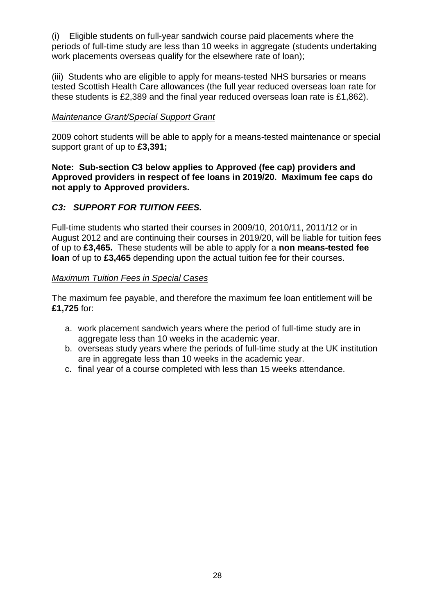(i) Eligible students on full-year sandwich course paid placements where the periods of full-time study are less than 10 weeks in aggregate (students undertaking work placements overseas qualify for the elsewhere rate of loan);

(iii) Students who are eligible to apply for means-tested NHS bursaries or means tested Scottish Health Care allowances (the full year reduced overseas loan rate for these students is £2,389 and the final year reduced overseas loan rate is £1,862).

#### *Maintenance Grant/Special Support Grant*

2009 cohort students will be able to apply for a means-tested maintenance or special support grant of up to **£3,391;**

**Note: Sub-section C3 below applies to Approved (fee cap) providers and Approved providers in respect of fee loans in 2019/20. Maximum fee caps do not apply to Approved providers.** 

### *C3: SUPPORT FOR TUITION FEES.*

Full-time students who started their courses in 2009/10, 2010/11, 2011/12 or in August 2012 and are continuing their courses in 2019/20, will be liable for tuition fees of up to **£3,465.** These students will be able to apply for a **non means-tested fee loan** of up to **£3,465** depending upon the actual tuition fee for their courses.

### *Maximum Tuition Fees in Special Cases*

The maximum fee payable, and therefore the maximum fee loan entitlement will be **£1,725** for:

- a. work placement sandwich years where the period of full-time study are in aggregate less than 10 weeks in the academic year.
- b. overseas study years where the periods of full-time study at the UK institution are in aggregate less than 10 weeks in the academic year.
- c. final year of a course completed with less than 15 weeks attendance.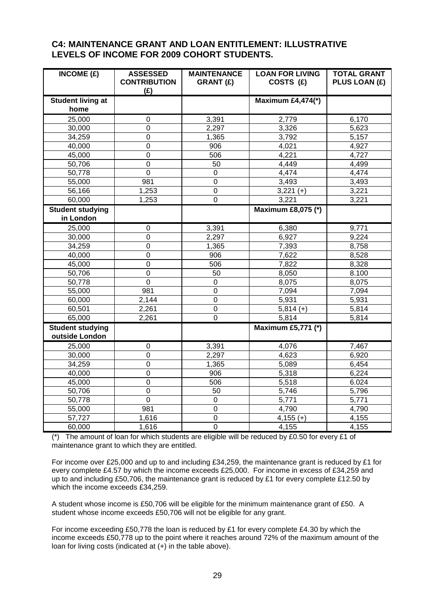#### **C4: MAINTENANCE GRANT AND LOAN ENTITLEMENT: ILLUSTRATIVE LEVELS OF INCOME FOR 2009 COHORT STUDENTS.**

| $\overline{\text{INCOME}}$ (£)            | <b>ASSESSED</b><br><b>CONTRIBUTION</b><br>(E) | <b>MAINTENANCE</b><br><b>GRANT (£)</b> | <b>LOAN FOR LIVING</b><br>COSTS (£) | <b>TOTAL GRANT</b><br>PLUS LOAN (£) |
|-------------------------------------------|-----------------------------------------------|----------------------------------------|-------------------------------------|-------------------------------------|
| <b>Student living at</b>                  |                                               |                                        | <b>Maximum £4,474(*)</b>            |                                     |
| home                                      |                                               |                                        |                                     |                                     |
| 25,000                                    | $\mathbf 0$                                   | 3,391                                  | 2,779                               | 6,170                               |
| 30,000                                    | $\mathbf 0$                                   | 2,297                                  | 3,326                               | 5,623                               |
| 34,259                                    | $\mathbf 0$                                   | 1,365                                  | 3,792                               | 5,157                               |
| 40,000                                    | $\mathbf 0$                                   | 906                                    | 4,021                               | 4,927                               |
| 45,000                                    | $\mathbf 0$                                   | 506                                    | 4,221                               | 4,727                               |
| 50,706                                    | $\mathbf 0$                                   | 50                                     | 4,449                               | 4,499                               |
| 50,778                                    | $\overline{0}$                                | $\overline{0}$                         | 4,474                               | 4,474                               |
| 55,000                                    | 981                                           | $\overline{0}$                         | 3,493                               | 3,493                               |
| 56,166                                    | 1,253                                         | $\mathbf 0$                            | $3,221 (+)$                         | 3,221                               |
| 60,000                                    | 1,253                                         | $\mathbf 0$                            | 3,221                               | 3,221                               |
| <b>Student studying</b><br>in London      |                                               |                                        | <b>Maximum £8,075 (*)</b>           |                                     |
| 25,000                                    | $\mathbf 0$                                   | 3,391                                  | 6,380                               | 9,771                               |
| 30,000                                    | 0                                             | 2,297                                  | 6,927                               | 9,224                               |
| 34,259                                    | $\mathbf 0$                                   | 1,365                                  | 7,393                               | 8,758                               |
| 40,000                                    | $\mathbf 0$                                   | 906                                    | 7,622                               | 8,528                               |
| 45,000                                    | $\mathbf 0$                                   | 506                                    | 7,822                               | 8,328                               |
| 50,706                                    | $\pmb{0}$                                     | 50                                     | 8,050                               | 8.100                               |
| 50,778                                    | $\mathbf 0$                                   | 0                                      | 8,075                               | 8,075                               |
| 55,000                                    | 981                                           | $\mathbf 0$                            | 7,094                               | 7,094                               |
| 60,000                                    | 2,144                                         | $\mathsf 0$                            | 5,931                               | 5,931                               |
| 60,501                                    | 2,261                                         | $\overline{0}$                         | $5,814 (+)$                         | 5,814                               |
| 65,000                                    | 2,261                                         | $\overline{0}$                         | 5,814                               | 5,814                               |
| <b>Student studying</b><br>outside London |                                               |                                        | <b>Maximum £5,771 (*)</b>           |                                     |
| 25,000                                    | $\mathbf 0$                                   | 3,391                                  | 4,076                               | 7,467                               |
| 30,000                                    | $\mathbf 0$                                   | 2,297                                  | 4,623                               | 6,920                               |
| 34,259                                    | $\mathbf 0$                                   | 1,365                                  | 5,089                               | 6,454                               |
| 40,000                                    | $\overline{0}$                                | 906                                    | 5,318                               | 6,224                               |
| 45,000                                    | $\mathbf 0$                                   | 506                                    | 5,518                               | 6.024                               |
| 50,706                                    | $\mathbf 0$                                   | 50                                     | 5,746                               | 5,796                               |
| 50,778                                    | $\mathbf 0$                                   | 0                                      | 5,771                               | 5,771                               |
| 55,000                                    | 981                                           | 0                                      | 4,790                               | 4,790                               |
| 57,727                                    | 1,616                                         | $\mathbf 0$                            | $4,155(+)$                          | 4,155                               |
| 60,000                                    | 1,616                                         | $\overline{0}$                         | 4,155                               | 4,155                               |

(\*) The amount of loan for which students are eligible will be reduced by £0.50 for every £1 of maintenance grant to which they are entitled.

For income over £25,000 and up to and including £34,259, the maintenance grant is reduced by £1 for every complete £4.57 by which the income exceeds £25,000. For income in excess of £34,259 and up to and including £50,706, the maintenance grant is reduced by £1 for every complete £12.50 by which the income exceeds £34,259.

A student whose income is £50,706 will be eligible for the minimum maintenance grant of £50. A student whose income exceeds £50,706 will not be eligible for any grant.

For income exceeding £50,778 the loan is reduced by £1 for every complete £4.30 by which the income exceeds £50,778 up to the point where it reaches around 72% of the maximum amount of the loan for living costs (indicated at (+) in the table above).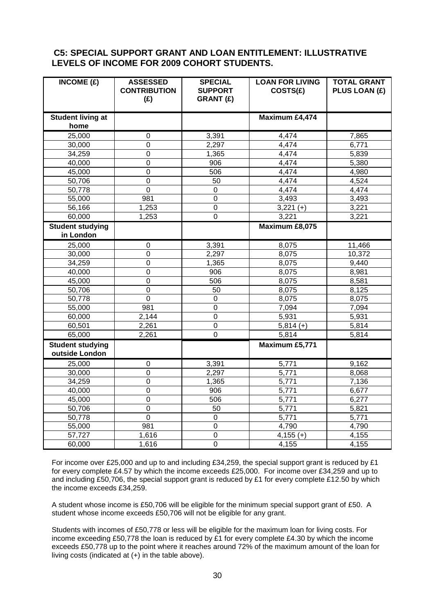### **C5: SPECIAL SUPPORT GRANT AND LOAN ENTITLEMENT: ILLUSTRATIVE LEVELS OF INCOME FOR 2009 COHORT STUDENTS.**

| INCOME $(E)$                       | <b>ASSESSED</b><br><b>CONTRIBUTION</b><br>(E) | <b>SPECIAL</b><br><b>SUPPORT</b><br><b>GRANT (£)</b> | <b>LOAN FOR LIVING</b><br>COSTS(£) | <b>TOTAL GRANT</b><br>PLUS LOAN (£) |
|------------------------------------|-----------------------------------------------|------------------------------------------------------|------------------------------------|-------------------------------------|
| <b>Student living at</b><br>home   |                                               |                                                      | Maximum £4,474                     |                                     |
| 25,000                             | $\mathbf 0$                                   | 3,391                                                | 4,474                              | 7,865                               |
| 30,000                             | $\overline{0}$                                | 2,297                                                | 4,474                              | 6,771                               |
| 34,259                             | $\mathbf 0$                                   | 1,365                                                | 4,474                              | 5,839                               |
| 40,000                             | 0                                             | 906                                                  | 4,474                              | 5,380                               |
| 45,000                             | $\mathbf 0$                                   | 506                                                  | 4,474                              | 4,980                               |
| 50,706                             | $\mathbf 0$                                   | 50                                                   | 4,474                              | 4,524                               |
| 50,778                             | $\mathbf 0$                                   | $\mathbf 0$                                          | 4,474                              | 4,474                               |
| 55,000                             | 981                                           | $\overline{0}$                                       | 3,493                              | 3,493                               |
| 56,166                             | 1,253                                         | $\pmb{0}$                                            | $3,221 (+)$                        | 3,221                               |
| 60,000                             | 1,253                                         | $\mathbf 0$                                          | 3,221                              | 3,221                               |
| <b>Student studying</b>            |                                               |                                                      | Maximum £8,075                     |                                     |
| in London                          |                                               |                                                      |                                    |                                     |
| 25,000                             | 0                                             | 3,391                                                | 8,075                              | 11,466                              |
| 30,000                             | $\mathbf 0$                                   | 2,297                                                | 8,075                              | 10,372                              |
| 34,259                             | $\mathbf 0$                                   | 1,365                                                | 8,075                              | 9,440                               |
| 40,000                             | $\overline{0}$                                | 906                                                  | 8,075                              | 8,981                               |
| 45,000                             | $\mathbf 0$                                   | 506                                                  | 8,075                              | 8,581                               |
| 50,706                             | $\overline{0}$                                | $\overline{50}$                                      | 8,075                              | 8,125                               |
| 50,778                             | $\overline{0}$                                | $\mathbf 0$                                          | 8,075                              | 8,075                               |
| 55,000                             | 981                                           | $\mathbf 0$                                          | 7,094                              | 7,094                               |
| 60,000                             | 2,144                                         | $\overline{0}$                                       | 5,931                              | 5,931                               |
| 60,501                             | 2,261                                         | $\overline{0}$                                       | $5,814 (+)$                        | 5,814                               |
| 65,000                             | 2,261                                         | $\overline{0}$                                       | 5,814                              | 5,814                               |
| Student studying<br>outside London |                                               |                                                      | Maximum £5,771                     |                                     |
| 25,000                             | $\boldsymbol{0}$                              | 3,391                                                | 5,771                              | 9,162                               |
| 30,000                             | 0                                             | 2,297                                                | 5,771                              | 8,068                               |
| 34,259                             | 0                                             | 1,365                                                | 5,771                              | 7,136                               |
| 40,000                             | $\mathbf 0$                                   | 906                                                  | 5,771                              | 6,677                               |
| 45,000                             | $\overline{0}$                                | 506                                                  | 5,771                              | 6,277                               |
| 50,706                             | $\mathsf 0$                                   | 50                                                   | 5,771                              | 5,821                               |
| 50,778                             | 0                                             | $\boldsymbol{0}$                                     | 5,771                              | 5,771                               |
| 55,000                             | 981                                           | $\overline{0}$                                       | 4,790                              | 4,790                               |
| 57,727                             | 1,616                                         | $\mathbf 0$                                          | $4,155(+)$                         | 4,155                               |
| 60,000                             | 1,616                                         | $\mathbf 0$                                          | 4,155                              | 4,155                               |

For income over £25,000 and up to and including £34,259, the special support grant is reduced by £1 for every complete £4.57 by which the income exceeds £25,000. For income over £34,259 and up to and including £50,706, the special support grant is reduced by £1 for every complete £12.50 by which the income exceeds £34,259.

A student whose income is £50,706 will be eligible for the minimum special support grant of £50. A student whose income exceeds £50,706 will not be eligible for any grant.

Students with incomes of £50,778 or less will be eligible for the maximum loan for living costs. For income exceeding £50,778 the loan is reduced by £1 for every complete £4.30 by which the income exceeds £50,778 up to the point where it reaches around 72% of the maximum amount of the loan for living costs (indicated at (+) in the table above).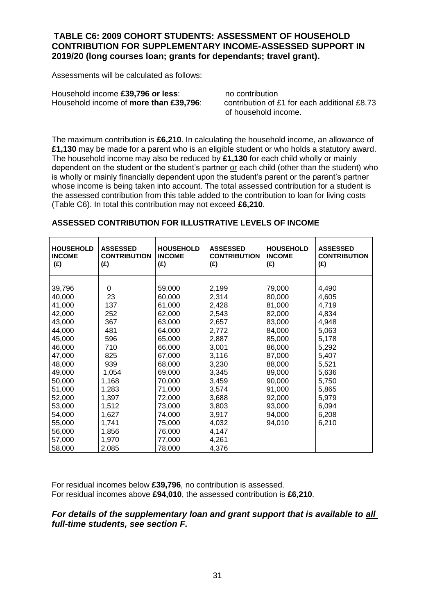### **TABLE C6: 2009 COHORT STUDENTS: ASSESSMENT OF HOUSEHOLD CONTRIBUTION FOR SUPPLEMENTARY INCOME-ASSESSED SUPPORT IN 2019/20 (long courses loan; grants for dependants; travel grant).**

Assessments will be calculated as follows:

Household income **£39,796 or less**:<br>Household income of **more than £39.796** contribution of £1 for each additional £8.73 Household income of **more than £39,796**:

of household income.

The maximum contribution is **£6,210**. In calculating the household income, an allowance of **£1,130** may be made for a parent who is an eligible student or who holds a statutory award. The household income may also be reduced by **£1,130** for each child wholly or mainly dependent on the student or the student's partner or each child (other than the student) who is wholly or mainly financially dependent upon the student's parent or the parent's partner whose income is being taken into account. The total assessed contribution for a student is the assessed contribution from this table added to the contribution to loan for living costs (Table C6). In total this contribution may not exceed **£6,210**.

| <b>HOUSEHOLD</b><br><b>INCOME</b><br>(E) | <b>ASSESSED</b><br><b>CONTRIBUTION</b><br>(E) | <b>HOUSEHOLD</b><br><b>INCOME</b><br>(E) | <b>ASSESSED</b><br><b>CONTRIBUTION</b><br>(E) | <b>HOUSEHOLD</b><br><b>INCOME</b><br>(E) | <b>ASSESSED</b><br><b>CONTRIBUTION</b><br>(E) |
|------------------------------------------|-----------------------------------------------|------------------------------------------|-----------------------------------------------|------------------------------------------|-----------------------------------------------|
| 39,796                                   | 0                                             | 59,000                                   | 2,199                                         | 79,000                                   | 4,490                                         |
| 40,000                                   | 23                                            | 60,000                                   | 2,314                                         | 80,000                                   | 4,605                                         |
| 41,000                                   | 137                                           | 61,000                                   | 2,428                                         | 81,000                                   | 4,719                                         |
| 42,000                                   | 252                                           | 62,000                                   | 2,543                                         | 82,000                                   | 4,834                                         |
| 43,000                                   | 367                                           | 63,000                                   | 2,657                                         | 83,000                                   | 4,948                                         |
| 44,000                                   | 481                                           | 64,000                                   | 2,772                                         | 84,000                                   | 5,063                                         |
| 45,000                                   | 596                                           | 65,000                                   | 2,887                                         | 85,000                                   | 5,178                                         |
| 46,000                                   | 710                                           | 66,000                                   | 3,001                                         | 86,000                                   | 5,292                                         |
| 47,000                                   | 825                                           | 67,000                                   | 3,116                                         | 87,000                                   | 5,407                                         |
| 48,000                                   | 939                                           | 68,000                                   | 3,230                                         | 88,000                                   | 5,521                                         |
| 49,000                                   | 1,054                                         | 69,000                                   | 3,345                                         | 89,000                                   | 5,636                                         |
| 50,000                                   | 1,168                                         | 70,000                                   | 3,459                                         | 90,000                                   | 5,750                                         |
| 51,000                                   | 1,283                                         | 71,000                                   | 3,574                                         | 91,000                                   | 5,865                                         |
| 52,000                                   | 1,397                                         | 72,000                                   | 3,688                                         | 92,000                                   | 5,979                                         |
| 53,000                                   | 1,512                                         | 73,000                                   | 3,803                                         | 93,000                                   | 6,094                                         |
| 54,000                                   | 1,627                                         | 74,000                                   | 3,917                                         | 94,000                                   | 6,208                                         |
| 55,000                                   | 1,741                                         | 75,000                                   | 4,032                                         | 94,010                                   | 6,210                                         |
| 56,000                                   | 1,856                                         | 76,000                                   | 4,147                                         |                                          |                                               |
| 57,000                                   | 1,970                                         | 77,000                                   | 4,261                                         |                                          |                                               |
| 58,000                                   | 2,085                                         | 78,000                                   | 4,376                                         |                                          |                                               |

#### **ASSESSED CONTRIBUTION FOR ILLUSTRATIVE LEVELS OF INCOME**

For residual incomes below **£39,796**, no contribution is assessed. For residual incomes above **£94,010**, the assessed contribution is **£6,210**.

### *For details of the supplementary loan and grant support that is available to all full-time students, see section F.*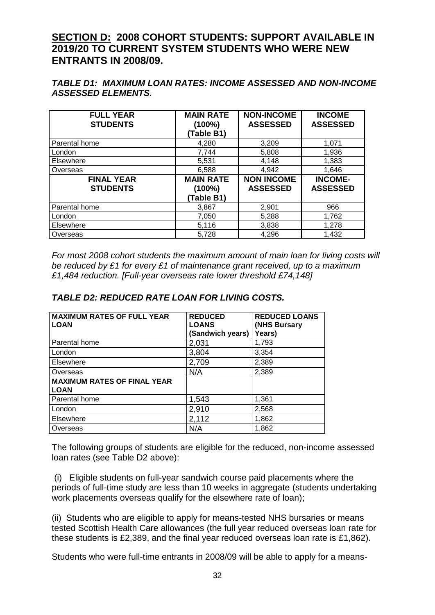# **SECTION D: 2008 COHORT STUDENTS: SUPPORT AVAILABLE IN 2019/20 TO CURRENT SYSTEM STUDENTS WHO WERE NEW ENTRANTS IN 2008/09.**

### *TABLE D1: MAXIMUM LOAN RATES: INCOME ASSESSED AND NON-INCOME ASSESSED ELEMENTS.*

| <b>FULL YEAR</b><br><b>STUDENTS</b>  | <b>MAIN RATE</b><br>$(100\%)$<br>(Table B1) | <b>NON-INCOME</b><br><b>ASSESSED</b> | <b>INCOME</b><br><b>ASSESSED</b>  |
|--------------------------------------|---------------------------------------------|--------------------------------------|-----------------------------------|
| Parental home                        | 4,280                                       | 3,209                                | 1,071                             |
| London                               | 7,744                                       | 5,808                                | 1,936                             |
| Elsewhere                            | 5,531                                       | 4,148                                | 1,383                             |
| Overseas                             | 6,588                                       | 4,942                                | 1,646                             |
| <b>FINAL YEAR</b><br><b>STUDENTS</b> | <b>MAIN RATE</b><br>$(100\%)$<br>(Table B1) | <b>NON INCOME</b><br><b>ASSESSED</b> | <b>INCOME-</b><br><b>ASSESSED</b> |
| Parental home                        | 3,867                                       | 2,901                                | 966                               |
| London                               | 7,050                                       | 5,288                                | 1,762                             |
| Elsewhere                            | 5,116                                       | 3,838                                | 1,278                             |
| Overseas                             | 5,728                                       | 4,296                                | 1,432                             |

*For most 2008 cohort students the maximum amount of main loan for living costs will be reduced by £1 for every £1 of maintenance grant received, up to a maximum £1,484 reduction. [Full-year overseas rate lower threshold £74,148]*

| <b>MAXIMUM RATES OF FULL YEAR</b><br><b>LOAN</b>  | <b>REDUCED</b><br><b>LOANS</b><br>(Sandwich years) | <b>REDUCED LOANS</b><br>(NHS Bursary<br>Years) |
|---------------------------------------------------|----------------------------------------------------|------------------------------------------------|
| Parental home                                     | 2,031                                              | 1,793                                          |
| London                                            | 3,804                                              | 3,354                                          |
| Elsewhere                                         | 2,709                                              | 2,389                                          |
| Overseas                                          | N/A                                                | 2,389                                          |
| <b>MAXIMUM RATES OF FINAL YEAR</b><br><b>LOAN</b> |                                                    |                                                |
| Parental home                                     | 1,543                                              | 1,361                                          |
| London                                            | 2,910                                              | 2,568                                          |
| Elsewhere                                         | 2,112                                              | 1,862                                          |
| Overseas                                          | N/A                                                | 1,862                                          |

### *TABLE D2: REDUCED RATE LOAN FOR LIVING COSTS.*

The following groups of students are eligible for the reduced, non-income assessed loan rates (see Table D2 above):

(i) Eligible students on full-year sandwich course paid placements where the periods of full-time study are less than 10 weeks in aggregate (students undertaking work placements overseas qualify for the elsewhere rate of loan);

(ii) Students who are eligible to apply for means-tested NHS bursaries or means tested Scottish Health Care allowances (the full year reduced overseas loan rate for these students is £2,389, and the final year reduced overseas loan rate is £1,862).

Students who were full-time entrants in 2008/09 will be able to apply for a means-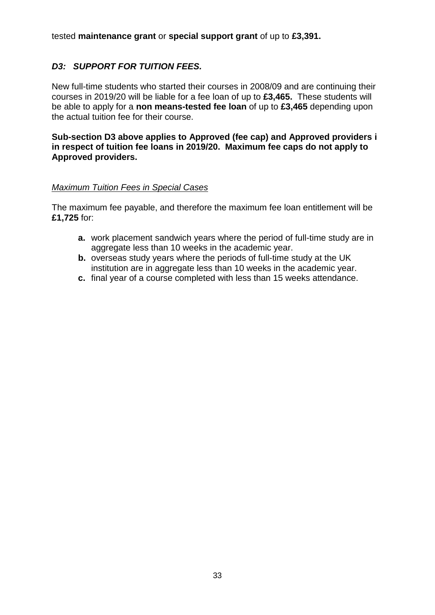tested **maintenance grant** or **special support grant** of up to **£3,391.**

# *D3: SUPPORT FOR TUITION FEES.*

New full-time students who started their courses in 2008/09 and are continuing their courses in 2019/20 will be liable for a fee loan of up to **£3,465.** These students will be able to apply for a **non means-tested fee loan** of up to **£3,465** depending upon the actual tuition fee for their course.

**Sub-section D3 above applies to Approved (fee cap) and Approved providers i in respect of tuition fee loans in 2019/20. Maximum fee caps do not apply to Approved providers.** 

### *Maximum Tuition Fees in Special Cases*

The maximum fee payable, and therefore the maximum fee loan entitlement will be **£1,725** for:

- **a.** work placement sandwich years where the period of full-time study are in aggregate less than 10 weeks in the academic year.
- **b.** overseas study years where the periods of full-time study at the UK institution are in aggregate less than 10 weeks in the academic year.
- **c.** final year of a course completed with less than 15 weeks attendance.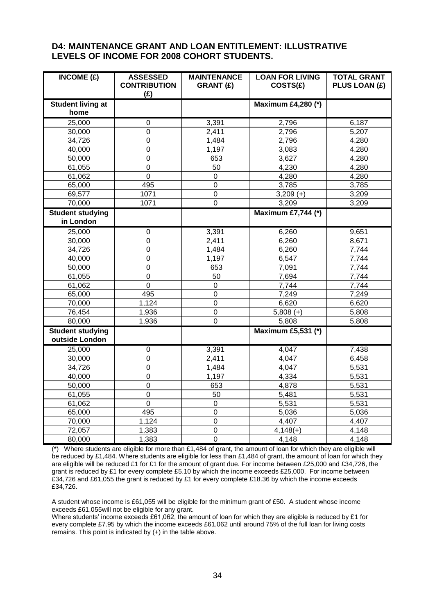#### **D4: MAINTENANCE GRANT AND LOAN ENTITLEMENT: ILLUSTRATIVE LEVELS OF INCOME FOR 2008 COHORT STUDENTS.**

| INCOME(E)                                 | <b>ASSESSED</b><br><b>CONTRIBUTION</b><br>(E) | <b>MAINTENANCE</b><br><b>GRANT (£)</b> | <b>LOAN FOR LIVING</b><br>COSTS(E) | <b>TOTAL GRANT</b><br>PLUS LOAN (£) |
|-------------------------------------------|-----------------------------------------------|----------------------------------------|------------------------------------|-------------------------------------|
| <b>Student living at</b>                  |                                               |                                        | <b>Maximum £4,280 (*)</b>          |                                     |
| home                                      |                                               |                                        |                                    |                                     |
| 25,000                                    | 0                                             | 3,391                                  | 2,796                              | 6,187                               |
| 30,000                                    | $\Omega$                                      | 2,411                                  | 2,796                              | 5,207                               |
| 34,726                                    | $\pmb{0}$                                     | 1,484                                  | 2,796                              | 4,280                               |
| 40,000                                    | $\mathbf 0$                                   | 1,197                                  | 3,083                              | 4,280                               |
| 50,000                                    | $\overline{0}$                                | 653                                    | 3,627                              | 4,280                               |
| 61,055                                    | $\mathbf 0$                                   | 50                                     | 4,230                              | 4,280                               |
| 61,062                                    | $\mathbf 0$                                   | $\mathbf 0$                            | 4,280                              | 4,280                               |
| 65,000                                    | 495                                           | $\overline{0}$                         | 3,785                              | 3,785                               |
| 69,577                                    | 1071                                          | $\overline{0}$                         | $3,209 (+)$                        | 3,209                               |
| 70,000                                    | 1071                                          | $\mathbf 0$                            | 3,209                              | 3,209                               |
| <b>Student studying</b>                   |                                               |                                        | <b>Maximum £7,744 (*)</b>          |                                     |
| in London                                 |                                               |                                        |                                    |                                     |
| 25,000                                    | $\boldsymbol{0}$                              | 3,391                                  | 6,260                              | 9,651                               |
| 30,000                                    | $\mathbf 0$                                   | 2,411                                  | 6,260                              | 8,671                               |
| 34,726                                    | $\overline{0}$                                | 1,484                                  | 6,260                              | 7,744                               |
| 40,000                                    | $\mathbf 0$                                   | 1,197                                  | 6,547                              | 7,744                               |
| 50,000                                    | $\mathbf 0$                                   | 653                                    | 7,091                              | 7,744                               |
| 61,055                                    | $\pmb{0}$                                     | 50                                     | 7,694                              | 7,744                               |
| 61,062                                    | $\mathbf 0$                                   | $\mathbf 0$                            | 7,744                              | 7,744                               |
| 65,000                                    | 495                                           | $\overline{0}$                         | 7,249                              | 7,249                               |
| 70,000                                    | 1,124                                         | $\overline{0}$                         | 6,620                              | 6,620                               |
| 76,454                                    | 1,936                                         | 0                                      | $5,808 (+)$                        | 5,808                               |
| 80,000                                    | 1,936                                         | $\overline{0}$                         | 5,808                              | 5,808                               |
| <b>Student studying</b><br>outside London |                                               |                                        | <b>Maximum £5,531 (*)</b>          |                                     |
| 25,000                                    | 0                                             | 3,391                                  | 4,047                              | 7,438                               |
| 30,000                                    | $\mathbf 0$                                   | 2,411                                  | 4,047                              | 6,458                               |
| 34,726                                    | $\boldsymbol{0}$                              | 1,484                                  | 4,047                              | 5,531                               |
| 40,000                                    | $\mathbf 0$                                   | 1,197                                  | 4,334                              | 5,531                               |
| 50,000                                    | $\mathbf 0$                                   | 653                                    | 4,878                              | 5,531                               |
| 61,055                                    | $\mathbf 0$                                   | 50                                     | 5,481                              | 5,531                               |
| 61,062                                    | $\mathbf 0$                                   | $\mathbf 0$                            | 5,531                              | 5,531                               |
| 65,000                                    | 495                                           | $\overline{0}$                         | 5,036                              | 5,036                               |
| 70,000                                    | 1,124                                         | $\overline{0}$                         | 4,407                              | 4,407                               |
| 72,057                                    | 1,383                                         | $\mathbf 0$                            | $4,148(+)$                         | 4,148                               |
| 80,000                                    | 1,383                                         | $\overline{0}$                         | 4,148                              | 4,148                               |

(\*) Where students are eligible for more than £1,484 of grant, the amount of loan for which they are eligible will be reduced by £1,484. Where students are eligible for less than £1,484 of grant, the amount of loan for which they are eligible will be reduced £1 for £1 for the amount of grant due. For income between £25,000 and £34,726, the grant is reduced by £1 for every complete £5.10 by which the income exceeds £25,000. For income between £34,726 and £61,055 the grant is reduced by £1 for every complete £18.36 by which the income exceeds £34,726.

A student whose income is £61,055 will be eligible for the minimum grant of £50. A student whose income exceeds £61,055will not be eligible for any grant.

Where students' income exceeds £61,062, the amount of loan for which they are eligible is reduced by £1 for every complete £7.95 by which the income exceeds £61,062 until around 75% of the full loan for living costs remains. This point is indicated by (+) in the table above.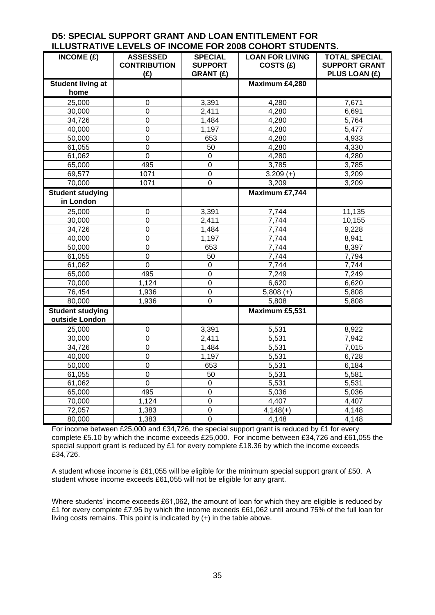#### **D5: SPECIAL SUPPORT GRANT AND LOAN ENTITLEMENT FOR ILLUSTRATIVE LEVELS OF INCOME FOR 2008 COHORT STUDENTS.**

| INCOME $(E)$                              | <b>ASSESSED</b><br><b>CONTRIBUTION</b> | <b>SPECIAL</b><br><b>SUPPORT</b> | <b>LOAN FOR LIVING</b><br>COSTS (£) | <b>TOTAL SPECIAL</b><br><b>SUPPORT GRANT</b> |
|-------------------------------------------|----------------------------------------|----------------------------------|-------------------------------------|----------------------------------------------|
|                                           | (E)                                    | <b>GRANT (£)</b>                 |                                     | PLUS LOAN (£)                                |
| <b>Student living at</b><br>home          |                                        |                                  | Maximum £4,280                      |                                              |
| 25,000                                    | 0                                      | 3,391                            | 4,280                               | 7,671                                        |
| 30,000                                    | $\mathbf 0$                            | 2,411                            | 4,280                               | 6,691                                        |
| 34,726                                    | 0                                      | 1,484                            | 4,280                               | 5,764                                        |
| 40,000                                    | $\overline{0}$                         | 1,197                            | 4,280                               | 5,477                                        |
| 50,000                                    | $\mathbf 0$                            | 653                              | 4,280                               | 4,933                                        |
| 61,055                                    | $\boldsymbol{0}$                       | 50                               | 4,280                               | 4,330                                        |
| 61,062                                    | $\mathsf 0$                            | $\pmb{0}$                        | 4,280                               | 4,280                                        |
| 65,000                                    | 495                                    | $\pmb{0}$                        | 3,785                               | 3,785                                        |
| 69,577                                    | 1071                                   | $\mathbf 0$                      | 3,209 $(\overline{+)}$              | 3,209                                        |
| 70,000                                    | 1071                                   | $\overline{0}$                   | 3,209                               | 3,209                                        |
| <b>Student studying</b>                   |                                        |                                  | <b>Maximum £7,744</b>               |                                              |
| in London                                 |                                        |                                  |                                     |                                              |
| 25,000                                    | $\mathsf 0$                            | 3,391                            | 7,744                               | 11,135                                       |
| 30,000                                    | $\mathbf 0$                            | 2,411                            | 7,744                               | 10,155                                       |
| 34,726                                    | $\mathbf 0$                            | 1,484                            | 7,744                               | 9,228                                        |
| 40,000                                    | $\overline{0}$                         | 1,197                            | 7,744                               | 8,941                                        |
| 50,000                                    | $\boldsymbol{0}$                       | 653                              | 7,744                               | 8,397                                        |
| 61,055                                    | $\mathbf 0$                            | 50                               | 7,744                               | 7,794                                        |
| 61,062                                    | $\overline{0}$                         | $\mathbf 0$                      | 7,744                               | 7,744                                        |
| 65,000                                    | 495                                    | $\overline{0}$                   | 7,249                               | 7,249                                        |
| 70,000                                    | 1,124                                  | $\mathbf 0$                      | 6,620                               | 6,620                                        |
| 76,454                                    | 1,936                                  | 0                                | $5,808 (+)$                         | 5,808                                        |
| 80,000                                    | 1,936                                  | $\overline{0}$                   | 5,808                               | 5,808                                        |
| <b>Student studying</b><br>outside London |                                        |                                  | Maximum £5,531                      |                                              |
| 25,000                                    | 0                                      | 3,391                            | 5,531                               | 8,922                                        |
| 30,000                                    | $\mathsf 0$                            | 2,411                            | 5,531                               | 7,942                                        |
| 34,726                                    | 0                                      | 1,484                            | 5,531                               | 7,015                                        |
| 40,000                                    | $\mathbf 0$                            | 1,197                            | 5,531                               | 6,728                                        |
| 50,000                                    | $\mathbf 0$                            | 653                              | 5,531                               | 6,184                                        |
| 61,055                                    | $\mathbf 0$                            | 50                               | 5,531                               | 5,581                                        |
| 61,062                                    | $\overline{0}$                         | $\overline{0}$                   | 5,531                               | 5,531                                        |
| 65,000                                    | 495                                    | $\mathbf 0$                      | 5,036                               | 5,036                                        |
| 70,000                                    | 1,124                                  | $\overline{0}$                   | 4,407                               | 4,407                                        |
| 72,057                                    | 1,383                                  | $\overline{0}$                   | $4,148(+)$                          | 4,148                                        |
| 80,000                                    | 1,383                                  | $\overline{0}$                   | 4,148                               | 4,148                                        |

For income between £25,000 and £34,726, the special support grant is reduced by £1 for every complete £5.10 by which the income exceeds £25,000. For income between £34,726 and £61,055 the special support grant is reduced by £1 for every complete £18.36 by which the income exceeds £34,726.

A student whose income is £61,055 will be eligible for the minimum special support grant of £50. A student whose income exceeds £61,055 will not be eligible for any grant.

Where students' income exceeds £61,062, the amount of loan for which they are eligible is reduced by £1 for every complete £7.95 by which the income exceeds £61,062 until around 75% of the full loan for living costs remains. This point is indicated by (+) in the table above.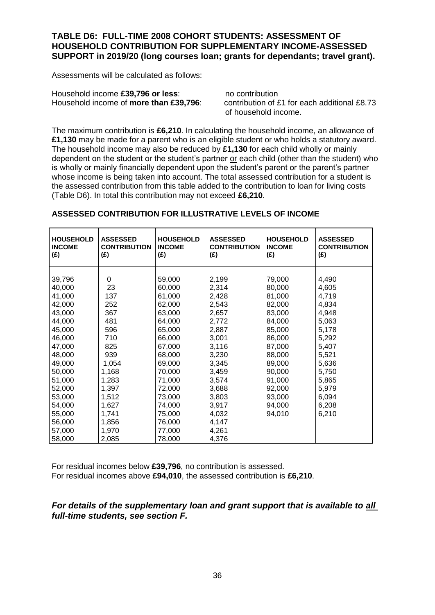#### **TABLE D6: FULL-TIME 2008 COHORT STUDENTS: ASSESSMENT OF HOUSEHOLD CONTRIBUTION FOR SUPPLEMENTARY INCOME-ASSESSED SUPPORT in 2019/20 (long courses loan; grants for dependants; travel grant).**

Assessments will be calculated as follows:

Household income **£39,796 or less**:<br>Household income of **more than £39.796** contribution of £1 for each additional £8.73 Household income of **more than £39,796**:

of household income.

The maximum contribution is **£6,210**. In calculating the household income, an allowance of **£1,130** may be made for a parent who is an eligible student or who holds a statutory award. The household income may also be reduced by **£1,130** for each child wholly or mainly dependent on the student or the student's partner or each child (other than the student) who is wholly or mainly financially dependent upon the student's parent or the parent's partner whose income is being taken into account. The total assessed contribution for a student is the assessed contribution from this table added to the contribution to loan for living costs (Table D6). In total this contribution may not exceed **£6,210**.

| <b>HOUSEHOLD</b><br><b>INCOME</b><br>(£) | <b>ASSESSED</b><br><b>CONTRIBUTION</b><br>(E) | <b>HOUSEHOLD</b><br><b>INCOME</b><br>(E) | <b>ASSESSED</b><br><b>CONTRIBUTION</b><br>(E) | <b>HOUSEHOLD</b><br><b>INCOME</b><br>(E) | <b>ASSESSED</b><br><b>CONTRIBUTION</b><br>(£) |
|------------------------------------------|-----------------------------------------------|------------------------------------------|-----------------------------------------------|------------------------------------------|-----------------------------------------------|
|                                          |                                               |                                          |                                               |                                          |                                               |
| 39,796                                   | 0                                             | 59,000                                   | 2,199                                         | 79,000                                   | 4,490                                         |
| 40,000                                   | 23                                            | 60,000                                   | 2,314                                         | 80,000                                   | 4,605                                         |
| 41,000                                   | 137                                           | 61,000                                   | 2,428                                         | 81,000                                   | 4,719                                         |
| 42,000                                   | 252                                           | 62,000                                   | 2,543                                         | 82,000                                   | 4,834                                         |
| 43,000                                   | 367                                           | 63,000                                   | 2,657                                         | 83,000                                   | 4,948                                         |
| 44,000                                   | 481                                           | 64,000                                   | 2,772                                         | 84,000                                   | 5,063                                         |
| 45,000                                   | 596                                           | 65,000                                   | 2,887                                         | 85,000                                   | 5,178                                         |
| 46,000                                   | 710                                           | 66,000                                   | 3,001                                         | 86,000                                   | 5,292                                         |
| 47,000                                   | 825                                           | 67,000                                   | 3,116                                         | 87,000                                   | 5,407                                         |
| 48,000                                   | 939                                           | 68,000                                   | 3,230                                         | 88,000                                   | 5,521                                         |
| 49,000                                   | 1,054                                         | 69,000                                   | 3,345                                         | 89,000                                   | 5,636                                         |
| 50,000                                   | 1,168                                         | 70,000                                   | 3,459                                         | 90,000                                   | 5,750                                         |
| 51,000                                   | 1,283                                         | 71,000                                   | 3,574                                         | 91,000                                   | 5,865                                         |
| 52,000                                   | 1,397                                         | 72,000                                   | 3,688                                         | 92,000                                   | 5,979                                         |
| 53,000                                   | 1,512                                         | 73,000                                   | 3,803                                         | 93,000                                   | 6,094                                         |
| 54,000                                   | 1,627                                         | 74,000                                   | 3,917                                         | 94,000                                   | 6,208                                         |
| 55,000                                   | 1,741                                         | 75,000                                   | 4,032                                         | 94,010                                   | 6,210                                         |
| 56,000                                   | 1,856                                         | 76,000                                   | 4,147                                         |                                          |                                               |
| 57,000                                   | 1,970                                         | 77,000                                   | 4,261                                         |                                          |                                               |
| 58,000                                   | 2,085                                         | 78,000                                   | 4,376                                         |                                          |                                               |

### **ASSESSED CONTRIBUTION FOR ILLUSTRATIVE LEVELS OF INCOME**

For residual incomes below **£39,796**, no contribution is assessed. For residual incomes above **£94,010**, the assessed contribution is **£6,210**.

### *For details of the supplementary loan and grant support that is available to all full-time students, see section F.*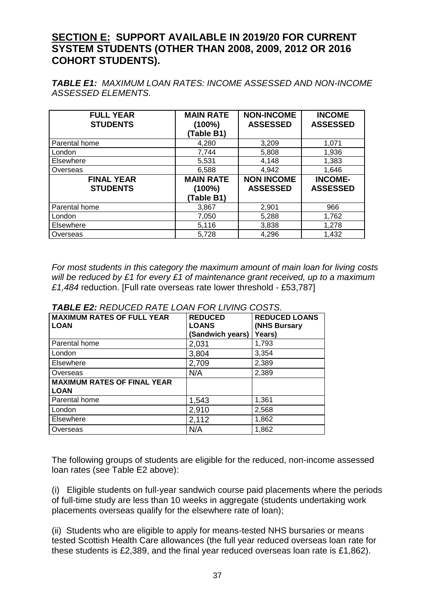# **SECTION E: SUPPORT AVAILABLE IN 2019/20 FOR CURRENT SYSTEM STUDENTS (OTHER THAN 2008, 2009, 2012 OR 2016 COHORT STUDENTS).**

*TABLE E1: MAXIMUM LOAN RATES: INCOME ASSESSED AND NON-INCOME ASSESSED ELEMENTS.*

| <b>FULL YEAR</b><br><b>STUDENTS</b>  | <b>MAIN RATE</b><br>$(100\%)$<br>(Table B1) | <b>NON-INCOME</b><br><b>ASSESSED</b> | <b>INCOME</b><br><b>ASSESSED</b>  |
|--------------------------------------|---------------------------------------------|--------------------------------------|-----------------------------------|
| Parental home                        | 4,280                                       | 3,209                                | 1,071                             |
| London                               | 7,744                                       | 5,808                                | 1,936                             |
| Elsewhere                            | 5,531                                       | 4,148                                | 1,383                             |
| Overseas                             | 6,588                                       | 4,942                                | 1,646                             |
| <b>FINAL YEAR</b><br><b>STUDENTS</b> | <b>MAIN RATE</b><br>$(100\%)$<br>(Table B1) | <b>NON INCOME</b><br><b>ASSESSED</b> | <b>INCOME-</b><br><b>ASSESSED</b> |
| Parental home                        | 3,867                                       | 2,901                                | 966                               |
| London                               | 7,050                                       | 5,288                                | 1,762                             |
| Elsewhere                            | 5,116                                       | 3,838                                | 1,278                             |
| Overseas                             | 5,728                                       | 4,296                                | 1,432                             |

*For most students in this category the maximum amount of main loan for living costs will be reduced by £1 for every £1 of maintenance grant received, up to a maximum £1,484* reduction. [Full rate overseas rate lower threshold - £53,787]

| <b>MAXIMUM RATES OF FULL YEAR</b><br><b>LOAN</b>  | <b>REDUCED</b><br><b>LOANS</b><br>(Sandwich years) | <b>REDUCED LOANS</b><br>(NHS Bursary<br>Years) |
|---------------------------------------------------|----------------------------------------------------|------------------------------------------------|
| Parental home                                     | 2,031                                              | 1,793                                          |
| London                                            | 3,804                                              | 3,354                                          |
| Elsewhere                                         | 2,709                                              | 2,389                                          |
| Overseas                                          | N/A                                                | 2,389                                          |
| <b>MAXIMUM RATES OF FINAL YEAR</b><br><b>LOAN</b> |                                                    |                                                |
| Parental home                                     | 1,543                                              | 1,361                                          |
| London                                            | 2,910                                              | 2,568                                          |
| Elsewhere                                         | 2,112                                              | 1,862                                          |
| Overseas                                          | N/A                                                | 1,862                                          |

*TABLE E2: REDUCED RATE LOAN FOR LIVING COSTS.*

The following groups of students are eligible for the reduced, non-income assessed loan rates (see Table E2 above):

(i) Eligible students on full-year sandwich course paid placements where the periods of full-time study are less than 10 weeks in aggregate (students undertaking work placements overseas qualify for the elsewhere rate of loan);

(ii) Students who are eligible to apply for means-tested NHS bursaries or means tested Scottish Health Care allowances (the full year reduced overseas loan rate for these students is £2,389, and the final year reduced overseas loan rate is £1,862).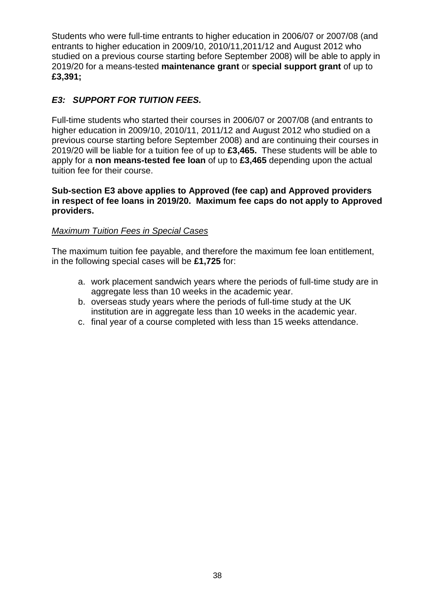Students who were full-time entrants to higher education in 2006/07 or 2007/08 (and entrants to higher education in 2009/10, 2010/11,2011/12 and August 2012 who studied on a previous course starting before September 2008) will be able to apply in 2019/20 for a means-tested **maintenance grant** or **special support grant** of up to **£3,391;**

# *E3: SUPPORT FOR TUITION FEES.*

Full-time students who started their courses in 2006/07 or 2007/08 (and entrants to higher education in 2009/10, 2010/11, 2011/12 and August 2012 who studied on a previous course starting before September 2008) and are continuing their courses in 2019/20 will be liable for a tuition fee of up to **£3,465.** These students will be able to apply for a **non means-tested fee loan** of up to **£3,465** depending upon the actual tuition fee for their course.

### **Sub-section E3 above applies to Approved (fee cap) and Approved providers in respect of fee loans in 2019/20. Maximum fee caps do not apply to Approved providers.**

### *Maximum Tuition Fees in Special Cases*

The maximum tuition fee payable, and therefore the maximum fee loan entitlement, in the following special cases will be **£1,725** for:

- a. work placement sandwich years where the periods of full-time study are in aggregate less than 10 weeks in the academic year.
- b. overseas study years where the periods of full-time study at the UK institution are in aggregate less than 10 weeks in the academic year.
- c. final year of a course completed with less than 15 weeks attendance.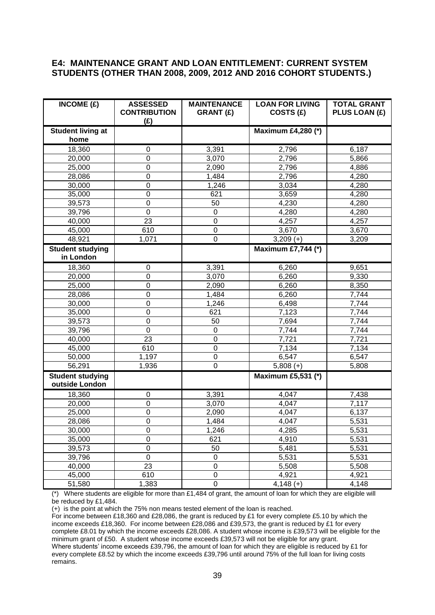#### **E4: MAINTENANCE GRANT AND LOAN ENTITLEMENT: CURRENT SYSTEM STUDENTS (OTHER THAN 2008, 2009, 2012 AND 2016 COHORT STUDENTS.)**

| INCOME $(E)$                              | <b>ASSESSED</b><br><b>CONTRIBUTION</b><br>(E) | <b>MAINTENANCE</b><br><b>GRANT (£)</b> | <b>LOAN FOR LIVING</b><br>COSTS (£) | <b>TOTAL GRANT</b><br>PLUS LOAN (£) |
|-------------------------------------------|-----------------------------------------------|----------------------------------------|-------------------------------------|-------------------------------------|
| <b>Student living at</b><br>home          |                                               |                                        | <b>Maximum £4,280 (*)</b>           |                                     |
| 18,360                                    | $\mathbf 0$                                   | 3,391                                  | 2,796                               | 6,187                               |
| 20,000                                    | 0                                             | 3,070                                  | 2,796                               | 5,866                               |
| 25,000                                    | 0                                             | 2,090                                  | 2,796                               | 4,886                               |
| 28,086                                    | $\mathbf 0$                                   | 1,484                                  | 2,796                               | 4,280                               |
| 30,000                                    | 0                                             | 1,246                                  | 3,034                               | 4,280                               |
| 35,000                                    | $\mathbf 0$                                   | 621                                    | 3,659                               | 4,280                               |
| 39,573                                    | 0                                             | 50                                     | 4,230                               | 4,280                               |
| 39,796                                    | 0                                             | 0                                      | 4,280                               | 4,280                               |
| 40,000                                    | 23                                            | $\mathbf 0$                            | 4,257                               | 4,257                               |
| 45,000                                    | 610                                           | $\boldsymbol{0}$                       | 3,670                               | 3,670                               |
| 48,921                                    | 1,071                                         | $\mathbf 0$                            | $3,209 (+)$                         | 3,209                               |
| <b>Student studying</b><br>in London      |                                               |                                        | <b>Maximum £7,744 (*)</b>           |                                     |
| 18,360                                    | $\pmb{0}$                                     | 3,391                                  | 6,260                               | 9,651                               |
| 20,000                                    | $\mathbf 0$                                   | 3,070                                  | 6,260                               | 9,330                               |
| 25,000                                    | $\mathbf 0$                                   | 2,090                                  | 6,260                               | 8,350                               |
| 28,086                                    | 0                                             | 1,484                                  | 6,260                               | 7,744                               |
| 30,000                                    | 0                                             | 1,246                                  | 6,498                               | 7,744                               |
| 35,000                                    | 0                                             | 621                                    | 7,123                               | 7,744                               |
| 39,573                                    | $\boldsymbol{0}$                              | 50                                     | 7,694                               | 7,744                               |
| 39,796                                    | $\mathbf 0$                                   | $\mathbf 0$                            | 7,744                               | 7,744                               |
| 40,000                                    | 23                                            | $\mathbf 0$                            | 7,721                               | 7,721                               |
| 45,000                                    | 610                                           | $\mathbf 0$                            | 7,134                               | 7,134                               |
| 50,000                                    | 1,197                                         | $\boldsymbol{0}$                       | 6,547                               | 6,547                               |
| 56,291                                    | 1,936                                         | $\mathbf 0$                            | $\overline{5,808}$ (+)              | 5,808                               |
| <b>Student studying</b><br>outside London |                                               |                                        | Maximum £5,531 (*)                  |                                     |
| 18,360                                    | 0                                             | 3,391                                  | 4,047                               | 7,438                               |
| 20,000                                    | $\mathbf 0$                                   | 3,070                                  | 4,047                               | 7,117                               |
| 25,000                                    | $\mathbf 0$                                   | 2,090                                  | 4,047                               | 6,137                               |
| 28,086                                    | $\mathbf 0$                                   | 1,484                                  | 4,047                               | 5,531                               |
| 30,000                                    | $\boldsymbol{0}$                              | 1,246                                  | 4,285                               | 5,531                               |
| 35,000                                    | $\boldsymbol{0}$                              | 621                                    | 4,910                               | 5,531                               |
| 39,573                                    | $\boldsymbol{0}$                              | 50                                     | 5,481                               | 5,531                               |
| 39,796                                    | $\mathbf 0$                                   | $\pmb{0}$                              | 5,531                               | 5,531                               |
| 40,000                                    | 23                                            | $\mathbf 0$                            | 5,508                               | 5,508                               |
| 45,000                                    | 610                                           | $\mathbf 0$                            | 4,921                               | 4,921                               |
| 51,580                                    | 1,383                                         | $\boldsymbol{0}$                       | $4,148 (+)$                         | 4,148                               |

(\*) Where students are eligible for more than £1,484 of grant, the amount of loan for which they are eligible will be reduced by £1,484.

(+) is the point at which the 75% non means tested element of the loan is reached.

For income between £18,360 and £28,086, the grant is reduced by £1 for every complete £5.10 by which the income exceeds £18,360. For income between £28,086 and £39,573, the grant is reduced by £1 for every complete £8.01 by which the income exceeds £28,086. A student whose income is £39,573 will be eligible for the minimum grant of £50. A student whose income exceeds £39,573 will not be eligible for any grant. Where students' income exceeds £39,796, the amount of loan for which they are eligible is reduced by £1 for every complete £8.52 by which the income exceeds £39,796 until around 75% of the full loan for living costs remains.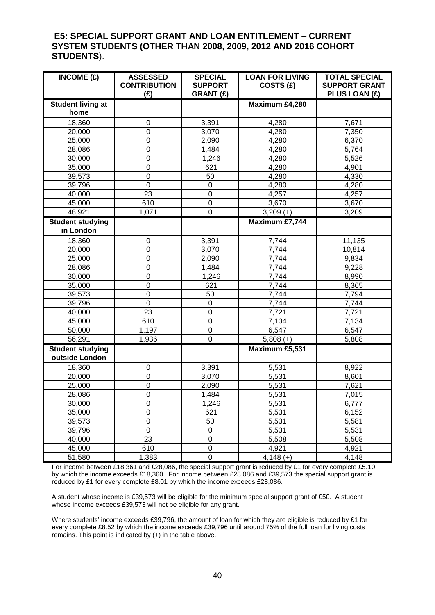#### **E5: SPECIAL SUPPORT GRANT AND LOAN ENTITLEMENT – CURRENT SYSTEM STUDENTS (OTHER THAN 2008, 2009, 2012 AND 2016 COHORT STUDENTS**).

| $\overline{\text{INCOME}}$ (£)            | <b>ASSESSED</b><br><b>CONTRIBUTION</b><br>(E) | <b>SPECIAL</b><br><b>SUPPORT</b><br><b>GRANT (£)</b> | <b>LOAN FOR LIVING</b><br>COSTS (£) | <b>TOTAL SPECIAL</b><br><b>SUPPORT GRANT</b><br>PLUS LOAN (£) |
|-------------------------------------------|-----------------------------------------------|------------------------------------------------------|-------------------------------------|---------------------------------------------------------------|
| <b>Student living at</b>                  |                                               |                                                      | Maximum £4,280                      |                                                               |
| home                                      |                                               |                                                      |                                     |                                                               |
| 18,360                                    | $\mathbf 0$                                   | 3,391                                                | 4,280                               | 7,671                                                         |
| 20,000                                    | 0                                             | 3,070                                                | 4,280                               | 7,350                                                         |
| 25,000                                    | 0                                             | 2,090                                                | 4,280                               | 6,370                                                         |
| 28,086                                    | 0                                             | 1,484                                                | 4,280                               | 5,764                                                         |
| 30,000                                    | $\mathbf 0$                                   | 1,246                                                | 4,280                               | 5,526                                                         |
| 35,000                                    | 0                                             | 621                                                  | 4,280                               | 4,901                                                         |
| 39,573                                    | $\mathbf 0$                                   | 50                                                   | 4,280                               | 4,330                                                         |
| 39,796                                    | 0                                             | 0                                                    | 4,280                               | 4,280                                                         |
| 40,000                                    | 23                                            | $\boldsymbol{0}$                                     | 4,257                               | 4,257                                                         |
| 45,000                                    | 610                                           | $\mathbf 0$                                          | 3,670                               | 3,670                                                         |
| 48,921                                    | 1,071                                         | $\mathbf 0$                                          | $3,209 (+)$                         | 3,209                                                         |
| <b>Student studying</b>                   |                                               |                                                      | Maximum £7,744                      |                                                               |
| in London                                 |                                               |                                                      |                                     |                                                               |
| 18,360                                    | $\mathbf 0$                                   | 3,391                                                | 7,744                               | 11,135                                                        |
| 20,000                                    | 0                                             | 3,070                                                | 7,744                               | 10,814                                                        |
| 25,000                                    | $\mathbf 0$                                   | 2,090                                                | 7,744                               | 9,834                                                         |
| 28,086                                    | $\mathbf 0$                                   | 1,484                                                | 7,744                               | 9,228                                                         |
| 30,000                                    | $\overline{0}$                                | 1,246                                                | 7,744                               | 8,990                                                         |
| 35,000                                    | $\mathbf 0$                                   | 621                                                  | 7,744                               | 8,365                                                         |
| 39,573                                    | $\mathbf 0$                                   | 50                                                   | 7,744                               | 7,794                                                         |
| 39,796                                    | $\boldsymbol{0}$                              | $\pmb{0}$                                            | 7,744                               | 7,744                                                         |
| 40,000                                    | 23                                            | $\mathbf 0$                                          | 7,721                               | 7,721                                                         |
| 45,000                                    | 610                                           | $\boldsymbol{0}$                                     | 7,134                               | 7,134                                                         |
| 50,000                                    | 1,197                                         | $\mathbf 0$                                          | 6,547                               | 6,547                                                         |
| 56,291                                    | 1,936                                         | $\pmb{0}$                                            | $5,808 (+)$                         | 5,808                                                         |
| <b>Student studying</b><br>outside London |                                               |                                                      | Maximum £5,531                      |                                                               |
| 18,360                                    | 0                                             | 3,391                                                | 5,531                               | 8,922                                                         |
| 20,000                                    | $\boldsymbol{0}$                              | 3,070                                                | 5,531                               | 8,601                                                         |
| 25,000                                    | $\mathbf 0$                                   | 2,090                                                | 5,531                               | 7,621                                                         |
| 28,086                                    | $\mathbf 0$                                   | 1,484                                                | 5,531                               | 7,015                                                         |
| 30,000                                    | 0                                             | 1,246                                                | 5,531                               | 6,777                                                         |
| 35,000                                    | $\overline{0}$                                | 621                                                  | 5,531                               | 6,152                                                         |
| 39,573                                    | $\mathbf 0$                                   | 50                                                   | 5,531                               | 5,581                                                         |
| 39,796                                    | $\pmb{0}$                                     | $\mathbf 0$                                          | 5,531                               | 5,531                                                         |
| 40,000                                    | $\overline{23}$                               | $\pmb{0}$                                            | 5,508                               | 5,508                                                         |
| 45,000                                    | 610                                           | $\mathbf 0$                                          | 4,921                               | 4,921                                                         |
| 51,580                                    | 1,383                                         | $\mathbf 0$                                          | $4,148 (+)$                         | 4,148                                                         |

For income between £18,361 and £28,086, the special support grant is reduced by £1 for every complete £5.10 by which the income exceeds £18,360. For income between £28,086 and £39,573 the special support grant is reduced by £1 for every complete £8.01 by which the income exceeds £28,086.

A student whose income is £39,573 will be eligible for the minimum special support grant of £50. A student whose income exceeds £39,573 will not be eligible for any grant.

Where students' income exceeds £39,796, the amount of loan for which they are eligible is reduced by £1 for every complete £8.52 by which the income exceeds £39,796 until around 75% of the full loan for living costs remains. This point is indicated by (+) in the table above.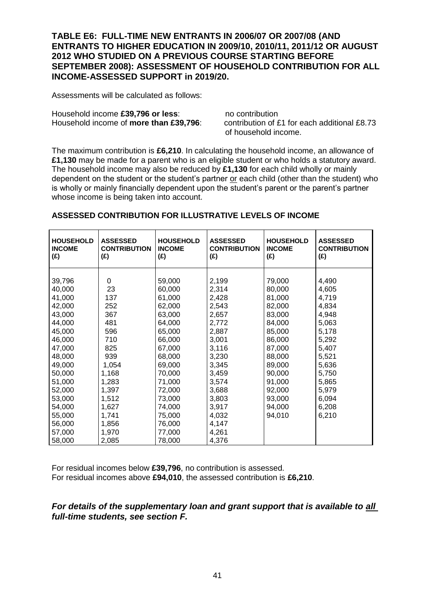**TABLE E6: FULL-TIME NEW ENTRANTS IN 2006/07 OR 2007/08 (AND ENTRANTS TO HIGHER EDUCATION IN 2009/10, 2010/11, 2011/12 OR AUGUST 2012 WHO STUDIED ON A PREVIOUS COURSE STARTING BEFORE SEPTEMBER 2008): ASSESSMENT OF HOUSEHOLD CONTRIBUTION FOR ALL INCOME-ASSESSED SUPPORT in 2019/20.**

Assessments will be calculated as follows:

Household income £39,796 or less: no contribution

Household income of **more than £39,796**: contribution of £1 for each additional £8.73 of household income.

The maximum contribution is **£6,210**. In calculating the household income, an allowance of **£1,130** may be made for a parent who is an eligible student or who holds a statutory award. The household income may also be reduced by **£1,130** for each child wholly or mainly dependent on the student or the student's partner or each child (other than the student) who is wholly or mainly financially dependent upon the student's parent or the parent's partner whose income is being taken into account.

| <b>HOUSEHOLD</b><br><b>INCOME</b><br>(E) | <b>ASSESSED</b><br><b>CONTRIBUTION</b><br>(E) | <b>HOUSEHOLD</b><br><b>INCOME</b><br>(E) | <b>ASSESSED</b><br><b>CONTRIBUTION</b><br>(E) | <b>HOUSEHOLD</b><br><b>INCOME</b><br>(E) | <b>ASSESSED</b><br><b>CONTRIBUTION</b><br>(E) |
|------------------------------------------|-----------------------------------------------|------------------------------------------|-----------------------------------------------|------------------------------------------|-----------------------------------------------|
| 39,796                                   | $\Omega$                                      | 59,000                                   | 2,199                                         | 79,000                                   | 4,490                                         |
| 40,000                                   | 23                                            | 60,000                                   | 2,314                                         | 80,000                                   | 4,605                                         |
| 41,000                                   | 137                                           | 61,000                                   | 2,428                                         | 81,000                                   | 4,719                                         |
| 42,000                                   | 252                                           | 62,000                                   | 2,543                                         | 82,000                                   | 4,834                                         |
| 43,000                                   | 367                                           | 63,000                                   | 2,657                                         | 83,000                                   | 4,948                                         |
| 44,000                                   | 481                                           | 64,000                                   | 2,772                                         | 84,000                                   | 5,063                                         |
| 45,000                                   | 596                                           | 65,000                                   | 2,887                                         | 85,000                                   | 5,178                                         |
| 46,000                                   | 710                                           | 66,000                                   | 3,001                                         | 86,000                                   | 5,292                                         |
| 47,000                                   | 825                                           | 67,000                                   | 3,116                                         | 87,000                                   | 5,407                                         |
| 48,000                                   | 939                                           | 68,000                                   | 3,230                                         | 88,000                                   | 5,521                                         |
| 49,000                                   | 1,054                                         | 69,000                                   | 3,345                                         | 89,000                                   | 5,636                                         |
| 50,000                                   | 1,168                                         | 70,000                                   | 3,459                                         | 90,000                                   | 5,750                                         |
| 51,000                                   | 1,283                                         | 71,000                                   | 3,574                                         | 91,000                                   | 5,865                                         |
| 52,000                                   | 1,397                                         | 72,000                                   | 3,688                                         | 92,000                                   | 5,979                                         |
| 53,000                                   | 1,512                                         | 73,000                                   | 3,803                                         | 93,000                                   | 6,094                                         |
| 54,000                                   | 1,627                                         | 74,000                                   | 3,917                                         | 94,000                                   | 6,208                                         |
| 55,000                                   | 1,741                                         | 75,000                                   | 4,032                                         | 94,010                                   | 6,210                                         |
| 56,000                                   | 1,856                                         | 76,000                                   | 4,147                                         |                                          |                                               |
| 57,000                                   | 1,970                                         | 77,000                                   | 4,261                                         |                                          |                                               |
| 58,000                                   | 2,085                                         | 78,000                                   | 4,376                                         |                                          |                                               |

#### **ASSESSED CONTRIBUTION FOR ILLUSTRATIVE LEVELS OF INCOME**

For residual incomes below **£39,796**, no contribution is assessed. For residual incomes above **£94,010**, the assessed contribution is **£6,210**.

### *For details of the supplementary loan and grant support that is available to all full-time students, see section F.*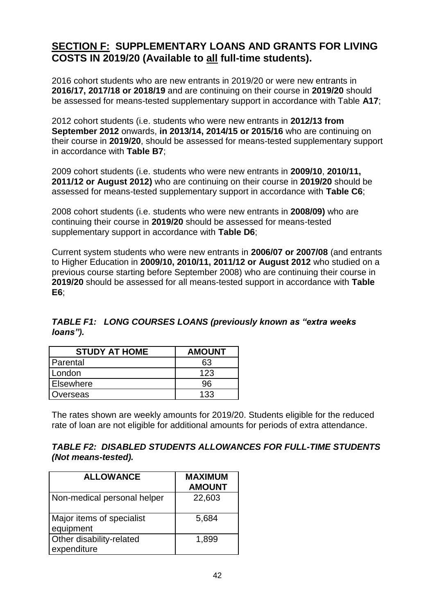# **SECTION F: SUPPLEMENTARY LOANS AND GRANTS FOR LIVING COSTS IN 2019/20 (Available to all full-time students).**

2016 cohort students who are new entrants in 2019/20 or were new entrants in **2016/17, 2017/18 or 2018/19** and are continuing on their course in **2019/20** should be assessed for means-tested supplementary support in accordance with Table **A17**;

2012 cohort students (i.e. students who were new entrants in **2012/13 from September 2012** onwards, **in 2013/14, 2014/15 or 2015/16** who are continuing on their course in **2019/20**, should be assessed for means-tested supplementary support in accordance with **Table B7**;

2009 cohort students (i.e. students who were new entrants in **2009/10**, **2010/11, 2011/12 or August 2012)** who are continuing on their course in **2019/20** should be assessed for means-tested supplementary support in accordance with **Table C6**;

2008 cohort students (i.e. students who were new entrants in **2008/09)** who are continuing their course in **2019/20** should be assessed for means-tested supplementary support in accordance with **Table D6**;

Current system students who were new entrants in **2006/07 or 2007/08** (and entrants to Higher Education in **2009/10, 2010/11, 2011/12 or August 2012** who studied on a previous course starting before September 2008) who are continuing their course in **2019/20** should be assessed for all means-tested support in accordance with **Table E6**;

| <b>STUDY AT HOME</b> | <b>AMOUNT</b> |
|----------------------|---------------|
| Parental             | 63            |
| London               | 123           |

Elsewhere 96 Overseas 133

# *TABLE F1: LONG COURSES LOANS (previously known as "extra weeks loans").*

The rates shown are weekly amounts for 2019/20. Students eligible for the reduced rate of loan are not eligible for additional amounts for periods of extra attendance.

### *TABLE F2: DISABLED STUDENTS ALLOWANCES FOR FULL-TIME STUDENTS (Not means-tested).*

| <b>ALLOWANCE</b>                        | <b>MAXIMUM</b><br><b>AMOUNT</b> |
|-----------------------------------------|---------------------------------|
| Non-medical personal helper             | 22,603                          |
| Major items of specialist<br>equipment  | 5,684                           |
| Other disability-related<br>expenditure | 1,899                           |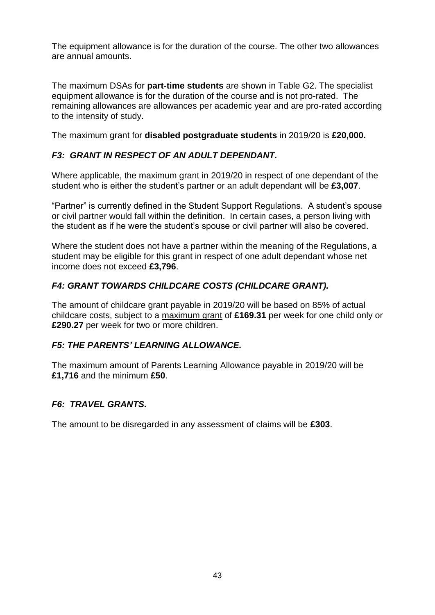The equipment allowance is for the duration of the course. The other two allowances are annual amounts.

The maximum DSAs for **part-time students** are shown in Table G2. The specialist equipment allowance is for the duration of the course and is not pro-rated. The remaining allowances are allowances per academic year and are pro-rated according to the intensity of study.

The maximum grant for **disabled postgraduate students** in 2019/20 is **£20,000.** 

# *F3: GRANT IN RESPECT OF AN ADULT DEPENDANT.*

Where applicable, the maximum grant in 2019/20 in respect of one dependant of the student who is either the student's partner or an adult dependant will be **£3,007**.

"Partner" is currently defined in the Student Support Regulations. A student's spouse or civil partner would fall within the definition. In certain cases, a person living with the student as if he were the student's spouse or civil partner will also be covered.

Where the student does not have a partner within the meaning of the Regulations, a student may be eligible for this grant in respect of one adult dependant whose net income does not exceed **£3,796**.

## *F4: GRANT TOWARDS CHILDCARE COSTS (CHILDCARE GRANT).*

The amount of childcare grant payable in 2019/20 will be based on 85% of actual childcare costs, subject to a maximum grant of **£169.31** per week for one child only or **£290.27** per week for two or more children.

## *F5: THE PARENTS' LEARNING ALLOWANCE.*

The maximum amount of Parents Learning Allowance payable in 2019/20 will be **£1,716** and the minimum **£50**.

## *F6: TRAVEL GRANTS.*

The amount to be disregarded in any assessment of claims will be **£303**.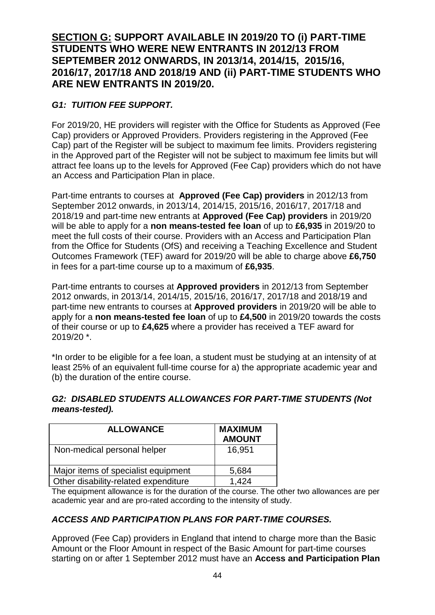# **SECTION G: SUPPORT AVAILABLE IN 2019/20 TO (i) PART-TIME STUDENTS WHO WERE NEW ENTRANTS IN 2012/13 FROM SEPTEMBER 2012 ONWARDS, IN 2013/14, 2014/15, 2015/16, 2016/17, 2017/18 AND 2018/19 AND (ii) PART-TIME STUDENTS WHO ARE NEW ENTRANTS IN 2019/20.**

# *G1: TUITION FEE SUPPORT.*

For 2019/20, HE providers will register with the Office for Students as Approved (Fee Cap) providers or Approved Providers. Providers registering in the Approved (Fee Cap) part of the Register will be subject to maximum fee limits. Providers registering in the Approved part of the Register will not be subject to maximum fee limits but will attract fee loans up to the levels for Approved (Fee Cap) providers which do not have an Access and Participation Plan in place.

Part-time entrants to courses at **Approved (Fee Cap) providers** in 2012/13 from September 2012 onwards, in 2013/14, 2014/15, 2015/16, 2016/17, 2017/18 and 2018/19 and part-time new entrants at **Approved (Fee Cap) providers** in 2019/20 will be able to apply for a **non means-tested fee loan** of up to **£6,935** in 2019/20 to meet the full costs of their course. Providers with an Access and Participation Plan from the Office for Students (OfS) and receiving a Teaching Excellence and Student Outcomes Framework (TEF) award for 2019/20 will be able to charge above **£6,750**  in fees for a part-time course up to a maximum of **£6,935**.

Part-time entrants to courses at **Approved providers** in 2012/13 from September 2012 onwards, in 2013/14, 2014/15, 2015/16, 2016/17, 2017/18 and 2018/19 and part-time new entrants to courses at **Approved providers** in 2019/20 will be able to apply for a **non means-tested fee loan** of up to **£4,500** in 2019/20 towards the costs of their course or up to **£4,625** where a provider has received a TEF award for 2019/20 \*.

\*In order to be eligible for a fee loan, a student must be studying at an intensity of at least 25% of an equivalent full-time course for a) the appropriate academic year and (b) the duration of the entire course.

## *G2: DISABLED STUDENTS ALLOWANCES FOR PART-TIME STUDENTS (Not means-tested).*

| <b>ALLOWANCE</b>                     | <b>MAXIMUM</b><br><b>AMOUNT</b> |
|--------------------------------------|---------------------------------|
| Non-medical personal helper          | 16,951                          |
| Major items of specialist equipment  | 5,684                           |
| Other disability-related expenditure | -424                            |

The equipment allowance is for the duration of the course. The other two allowances are per academic year and are pro-rated according to the intensity of study.

# *ACCESS AND PARTICIPATION PLANS FOR PART-TIME COURSES.*

Approved (Fee Cap) providers in England that intend to charge more than the Basic Amount or the Floor Amount in respect of the Basic Amount for part-time courses starting on or after 1 September 2012 must have an **Access and Participation Plan**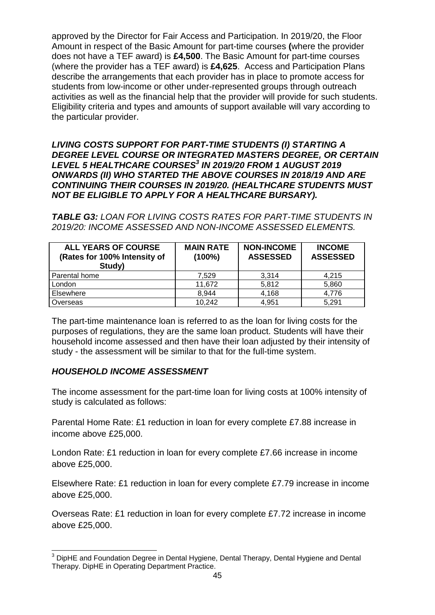approved by the Director for Fair Access and Participation. In 2019/20, the Floor Amount in respect of the Basic Amount for part-time courses **(**where the provider does not have a TEF award) is **£4,500**. The Basic Amount for part-time courses (where the provider has a TEF award) is **£4,625**. Access and Participation Plans describe the arrangements that each provider has in place to promote access for students from low-income or other under-represented groups through outreach activities as well as the financial help that the provider will provide for such students. Eligibility criteria and types and amounts of support available will vary according to the particular provider.

*LIVING COSTS SUPPORT FOR PART-TIME STUDENTS (I) STARTING A DEGREE LEVEL COURSE OR INTEGRATED MASTERS DEGREE, OR CERTAIN LEVEL 5 HEALTHCARE COURSES 3 IN 2019/20 FROM 1 AUGUST 2019 ONWARDS (II) WHO STARTED THE ABOVE COURSES IN 2018/19 AND ARE CONTINUING THEIR COURSES IN 2019/20. (HEALTHCARE STUDENTS MUST NOT BE ELIGIBLE TO APPLY FOR A HEALTHCARE BURSARY).*

*TABLE G3: LOAN FOR LIVING COSTS RATES FOR PART-TIME STUDENTS IN 2019/20: INCOME ASSESSED AND NON-INCOME ASSESSED ELEMENTS.* 

| <b>ALL YEARS OF COURSE</b><br>(Rates for 100% Intensity of<br>Study) | <b>MAIN RATE</b><br>$(100\%)$ | <b>NON-INCOME</b><br><b>ASSESSED</b> | <b>INCOME</b><br><b>ASSESSED</b> |
|----------------------------------------------------------------------|-------------------------------|--------------------------------------|----------------------------------|
| Parental home                                                        | 7.529                         | 3.314                                | 4.215                            |
| London                                                               | 11,672                        | 5,812                                | 5,860                            |
| Elsewhere                                                            | 8,944                         | 4,168                                | 4,776                            |
| Overseas                                                             | 10,242                        | 4,951                                | 5.291                            |

The part-time maintenance loan is referred to as the loan for living costs for the purposes of regulations, they are the same loan product. Students will have their household income assessed and then have their loan adjusted by their intensity of study - the assessment will be similar to that for the full-time system.

### *HOUSEHOLD INCOME ASSESSMENT*

 $\overline{\phantom{a}}$ 

The income assessment for the part-time loan for living costs at 100% intensity of study is calculated as follows:

Parental Home Rate: £1 reduction in loan for every complete £7.88 increase in income above £25,000.

London Rate: £1 reduction in loan for every complete £7.66 increase in income above £25,000.

Elsewhere Rate: £1 reduction in loan for every complete £7.79 increase in income above £25,000.

Overseas Rate: £1 reduction in loan for every complete £7.72 increase in income above £25,000.

 $3$  DipHE and Foundation Degree in Dental Hygiene, Dental Therapy, Dental Hygiene and Dental Therapy. DipHE in Operating Department Practice.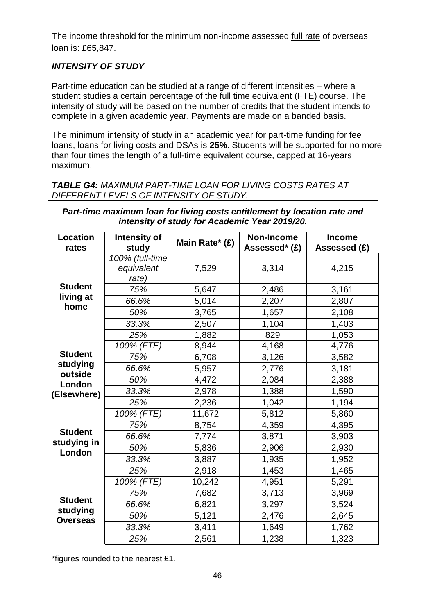The income threshold for the minimum non-income assessed full rate of overseas loan is: £65,847.

## *INTENSITY OF STUDY*

Part-time education can be studied at a range of different intensities – where a student studies a certain percentage of the full time equivalent (FTE) course. The intensity of study will be based on the number of credits that the student intends to complete in a given academic year. Payments are made on a banded basis.

The minimum intensity of study in an academic year for part-time funding for fee loans, loans for living costs and DSAs is **25%**. Students will be supported for no more than four times the length of a full-time equivalent course, capped at 16-years maximum.

*TABLE G4: MAXIMUM PART-TIME LOAN FOR LIVING COSTS RATES AT DIFFERENT LEVELS OF INTENSITY OF STUDY.* 

| Part-time maximum loan for living costs entitlement by location rate and<br>intensity of study for Academic Year 2019/20. |                                        |                |                                    |                               |
|---------------------------------------------------------------------------------------------------------------------------|----------------------------------------|----------------|------------------------------------|-------------------------------|
| <b>Location</b><br>rates                                                                                                  | Intensity of<br>study                  | Main Rate* (£) | <b>Non-Income</b><br>Assessed* (£) | <b>Income</b><br>Assessed (£) |
|                                                                                                                           | 100% (full-time<br>equivalent<br>rate) | 7,529          | 3,314                              | 4,215                         |
| <b>Student</b>                                                                                                            | 75%                                    | 5,647          | 2,486                              | 3,161                         |
| living at<br>home                                                                                                         | 66.6%                                  | 5,014          | 2,207                              | 2,807                         |
|                                                                                                                           | 50%                                    | 3,765          | 1,657                              | 2,108                         |
|                                                                                                                           | 33.3%                                  | 2,507          | 1,104                              | 1,403                         |
|                                                                                                                           | 25%                                    | 1,882          | 829                                | 1,053                         |
|                                                                                                                           | 100% (FTE)                             | 8,944          | 4,168                              | 4,776                         |
| <b>Student</b>                                                                                                            | 75%                                    | 6,708          | 3,126                              | 3,582                         |
| studying<br>outside                                                                                                       | 66.6%                                  | 5,957          | 2,776                              | 3,181                         |
| London                                                                                                                    | 50%                                    | 4,472          | 2,084                              | 2,388                         |
| (Elsewhere)                                                                                                               | 33.3%                                  | 2,978          | 1,388                              | 1,590                         |
|                                                                                                                           | 25%                                    | 2,236          | 1,042                              | 1,194                         |
|                                                                                                                           | 100% (FTE)                             | 11,672         | 5,812                              | 5,860                         |
|                                                                                                                           | 75%                                    | 8,754          | 4,359                              | 4,395                         |
| <b>Student</b><br>studying in                                                                                             | 66.6%                                  | 7,774          | 3,871                              | 3,903                         |
| London                                                                                                                    | 50%                                    | 5,836          | 2,906                              | 2,930                         |
|                                                                                                                           | 33.3%                                  | 3,887          | 1,935                              | 1,952                         |
|                                                                                                                           | 25%                                    | 2,918          | 1,453                              | 1,465                         |
|                                                                                                                           | 100% (FTE)                             | 10,242         | 4,951                              | 5,291                         |
|                                                                                                                           | 75%                                    | 7,682          | 3,713                              | 3,969                         |
| <b>Student</b>                                                                                                            | 66.6%                                  | 6,821          | 3,297                              | 3,524                         |
| studying<br><b>Overseas</b>                                                                                               | 50%                                    | 5,121          | 2,476                              | 2,645                         |
|                                                                                                                           | 33.3%                                  | 3,411          | 1,649                              | 1,762                         |
|                                                                                                                           | 25%                                    | 2,561          | 1,238                              | 1,323                         |

\*figures rounded to the nearest £1.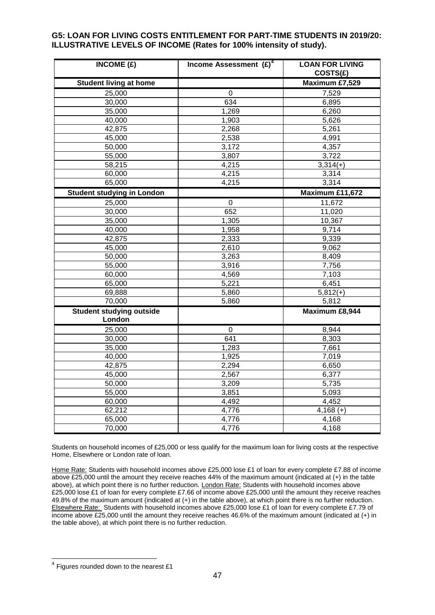#### **G5: LOAN FOR LIVING COSTS ENTITLEMENT FOR PART-TIME STUDENTS IN 2019/20: ILLUSTRATIVE LEVELS OF INCOME (Rates for 100% intensity of study).**

| INCOME $(E)$                              | Income Assessment $(E)^4$ | <b>LOAN FOR LIVING</b><br>COSTS(E) |
|-------------------------------------------|---------------------------|------------------------------------|
| <b>Student living at home</b>             |                           | Maximum £7,529                     |
| 25,000                                    | $\pmb{0}$                 | 7,529                              |
| 30,000                                    | 634                       | 6,895                              |
| 35,000                                    | 1,269                     | 6,260                              |
| 40,000                                    | 1,903                     | 5,626                              |
| 42,875                                    | 2,268                     | 5,261                              |
| 45,000                                    | 2,538                     | 4,991                              |
| 50,000                                    | 3,172                     | 4,357                              |
| 55,000                                    | 3,807                     | 3,722                              |
| 58,215                                    | 4,215                     | $3,314(+)$                         |
| 60,000                                    | 4,215                     | 3,314                              |
| 65,000                                    | 4,215                     | 3,314                              |
| <b>Student studying in London</b>         |                           | Maximum £11,672                    |
| 25,000                                    | $\mathbf 0$               | 11,672                             |
| 30,000                                    | 652                       | 11,020                             |
| 35,000                                    | 1,305                     | 10,367                             |
| 40,000                                    | 1,958                     | 9,714                              |
| 42,875                                    | 2,333                     | 9,339                              |
| 45,000                                    | 2,610                     | 9,062                              |
| 50,000                                    | 3,263                     | 8,409                              |
| 55,000                                    | 3,916                     | 7,756                              |
| 60,000                                    | 4,569                     | 7,103                              |
| 65,000                                    | 5,221                     | 6,451                              |
| 69,888                                    | 5,860                     | $5,812(+)$                         |
| 70,000                                    | 5,860                     | 5,812                              |
| <b>Student studying outside</b><br>London |                           | Maximum £8,944                     |
| 25,000                                    | $\mathbf 0$               | 8,944                              |
| 30,000                                    | 641                       | 8,303                              |
| 35,000                                    | 1,283                     | 7,661                              |
| 40,000                                    | 1,925                     | 7,019                              |
| 42,875                                    | 2,294                     | 6,650                              |
| 45,000                                    | 2,567                     | 6,377                              |
| 50,000                                    | 3,209                     | 5,735                              |
| 55,000                                    | 3,851                     | 5,093                              |
| 60,000                                    | 4,492                     | 4,452                              |
| 62,212                                    | 4,776                     | $4,168 (+)$                        |
| 65,000                                    | 4,776                     | 4,168                              |
| 70,000                                    | 4,776                     | 4,168                              |

Students on household incomes of £25,000 or less qualify for the maximum loan for living costs at the respective Home, Elsewhere or London rate of loan.

Home Rate: Students with household incomes above £25,000 lose £1 of loan for every complete £7.88 of income above £25,000 until the amount they receive reaches 44% of the maximum amount (indicated at (+) in the table above), at which point there is no further reduction. London Rate: Students with household incomes above £25,000 lose £1 of loan for every complete £7.66 of income above £25,000 until the amount they receive reaches 49.8% of the maximum amount (indicated at (+) in the table above), at which point there is no further reduction. Elsewhere Rate: Students with household incomes above £25,000 lose £1 of loan for every complete £7.79 of income above £25,000 until the amount they receive reaches 46.6% of the maximum amount (indicated at (+) in the table above), at which point there is no further reduction.

 4 Figures rounded down to the nearest £1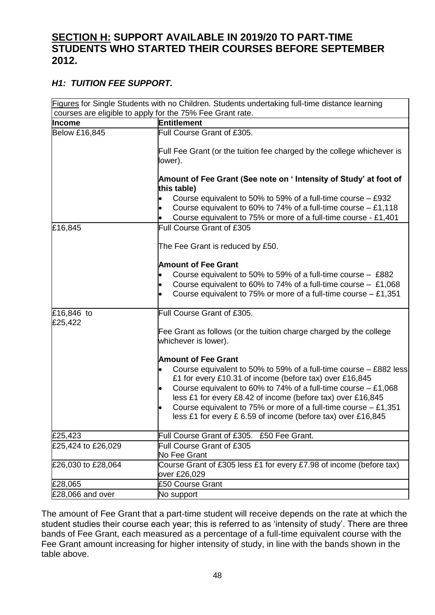# **SECTION H: SUPPORT AVAILABLE IN 2019/20 TO PART-TIME STUDENTS WHO STARTED THEIR COURSES BEFORE SEPTEMBER 2012.**

# *H1: TUITION FEE SUPPORT.*

|                             | Figures for Single Students with no Children. Students undertaking full-time distance learning<br>courses are eligible to apply for the 75% Fee Grant rate. |
|-----------------------------|-------------------------------------------------------------------------------------------------------------------------------------------------------------|
| Income                      | Entitlement                                                                                                                                                 |
| <b>Below £16,845</b>        | Full Course Grant of £305.                                                                                                                                  |
|                             |                                                                                                                                                             |
|                             | Full Fee Grant (or the tuition fee charged by the college whichever is                                                                                      |
|                             | lower).                                                                                                                                                     |
|                             | Amount of Fee Grant (See note on ' Intensity of Study' at foot of                                                                                           |
|                             | this table)                                                                                                                                                 |
|                             | Course equivalent to 50% to 59% of a full-time course $-$ £932                                                                                              |
|                             | Course equivalent to 60% to 74% of a full-time course $-$ £1,118                                                                                            |
|                             | Course equivalent to 75% or more of a full-time course - £1,401                                                                                             |
| £16,845                     | Full Course Grant of £305                                                                                                                                   |
|                             |                                                                                                                                                             |
|                             | The Fee Grant is reduced by £50.                                                                                                                            |
|                             | <b>Amount of Fee Grant</b>                                                                                                                                  |
|                             | Course equivalent to 50% to 59% of a full-time course - £882                                                                                                |
|                             | Course equivalent to 60% to 74% of a full-time course $-$ £1,068                                                                                            |
|                             | Course equivalent to 75% or more of a full-time course $-$ £1,351                                                                                           |
| £16,846 to                  | Full Course Grant of £305.                                                                                                                                  |
| £25,422                     |                                                                                                                                                             |
|                             | Fee Grant as follows (or the tuition charge charged by the college                                                                                          |
|                             | whichever is lower).                                                                                                                                        |
|                             | <b>Amount of Fee Grant</b>                                                                                                                                  |
|                             | Course equivalent to 50% to 59% of a full-time course – £882 less                                                                                           |
|                             | £1 for every £10.31 of income (before tax) over £16,845                                                                                                     |
|                             | Course equivalent to 60% to 74% of a full-time course $-$ £1,068                                                                                            |
|                             | less £1 for every £8.42 of income (before tax) over £16,845                                                                                                 |
|                             | Course equivalent to 75% or more of a full-time course - £1,351                                                                                             |
|                             | less £1 for every £ 6.59 of income (before tax) over £16,845                                                                                                |
| £25,423                     | Full Course Grant of £305. £50 Fee Grant.                                                                                                                   |
| £25,424 to £26,029          | Full Course Grant of £305                                                                                                                                   |
|                             | No Fee Grant                                                                                                                                                |
| £26,030 to £28,064          | Course Grant of £305 less £1 for every £7.98 of income (before tax)                                                                                         |
|                             | over £26,029                                                                                                                                                |
| £28,065<br>£28,066 and over | £50 Course Grant<br>No support                                                                                                                              |
|                             |                                                                                                                                                             |

The amount of Fee Grant that a part-time student will receive depends on the rate at which the student studies their course each year; this is referred to as 'intensity of study'. There are three bands of Fee Grant, each measured as a percentage of a full-time equivalent course with the Fee Grant amount increasing for higher intensity of study, in line with the bands shown in the table above.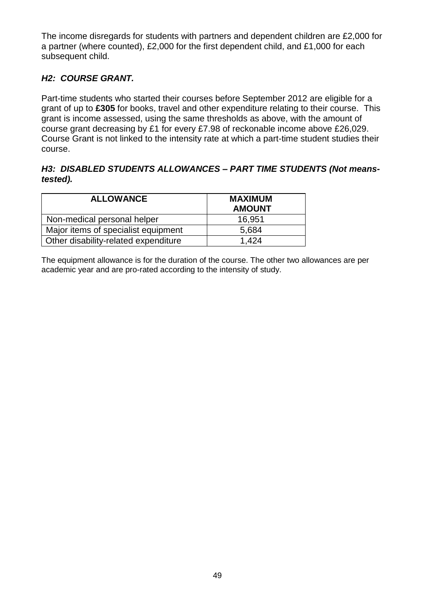The income disregards for students with partners and dependent children are £2,000 for a partner (where counted), £2,000 for the first dependent child, and £1,000 for each subsequent child.

## *H2: COURSE GRANT.*

Part-time students who started their courses before September 2012 are eligible for a grant of up to **£305** for books, travel and other expenditure relating to their course. This grant is income assessed, using the same thresholds as above, with the amount of course grant decreasing by £1 for every £7.98 of reckonable income above £26,029. Course Grant is not linked to the intensity rate at which a part-time student studies their course.

### *H3: DISABLED STUDENTS ALLOWANCES – PART TIME STUDENTS (Not meanstested).*

| <b>ALLOWANCE</b>                     | <b>MAXIMUM</b><br><b>AMOUNT</b> |
|--------------------------------------|---------------------------------|
| Non-medical personal helper          | 16,951                          |
| Major items of specialist equipment  | 5,684                           |
| Other disability-related expenditure | 1.424                           |

The equipment allowance is for the duration of the course. The other two allowances are per academic year and are pro-rated according to the intensity of study.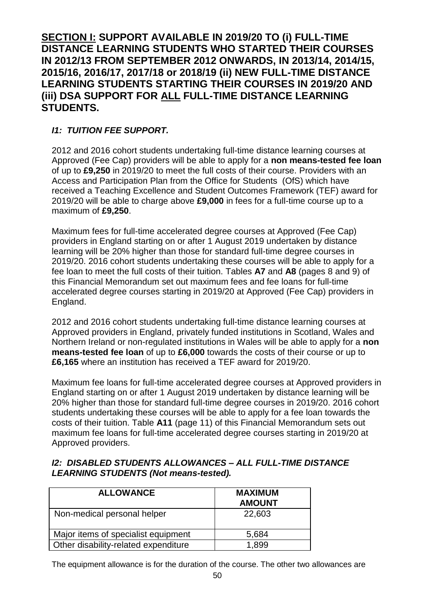**SECTION I: SUPPORT AVAILABLE IN 2019/20 TO (i) FULL-TIME DISTANCE LEARNING STUDENTS WHO STARTED THEIR COURSES IN 2012/13 FROM SEPTEMBER 2012 ONWARDS, IN 2013/14, 2014/15, 2015/16, 2016/17, 2017/18 or 2018/19 (ii) NEW FULL-TIME DISTANCE LEARNING STUDENTS STARTING THEIR COURSES IN 2019/20 AND (iii) DSA SUPPORT FOR ALL FULL-TIME DISTANCE LEARNING STUDENTS.** 

# *I1: TUITION FEE SUPPORT.*

2012 and 2016 cohort students undertaking full-time distance learning courses at Approved (Fee Cap) providers will be able to apply for a **non means-tested fee loan** of up to **£9,250** in 2019/20 to meet the full costs of their course. Providers with an Access and Participation Plan from the Office for Students (OfS) which have received a Teaching Excellence and Student Outcomes Framework (TEF) award for 2019/20 will be able to charge above **£9,000** in fees for a full-time course up to a maximum of **£9,250**.

Maximum fees for full-time accelerated degree courses at Approved (Fee Cap) providers in England starting on or after 1 August 2019 undertaken by distance learning will be 20% higher than those for standard full-time degree courses in 2019/20. 2016 cohort students undertaking these courses will be able to apply for a fee loan to meet the full costs of their tuition. Tables **A7** and **A8** (pages 8 and 9) of this Financial Memorandum set out maximum fees and fee loans for full-time accelerated degree courses starting in 2019/20 at Approved (Fee Cap) providers in England.

2012 and 2016 cohort students undertaking full-time distance learning courses at Approved providers in England, privately funded institutions in Scotland, Wales and Northern Ireland or non-regulated institutions in Wales will be able to apply for a **non means-tested fee loan** of up to **£6,000** towards the costs of their course or up to **£6,165** where an institution has received a TEF award for 2019/20.

Maximum fee loans for full-time accelerated degree courses at Approved providers in England starting on or after 1 August 2019 undertaken by distance learning will be 20% higher than those for standard full-time degree courses in 2019/20. 2016 cohort students undertaking these courses will be able to apply for a fee loan towards the costs of their tuition. Table **A11** (page 11) of this Financial Memorandum sets out maximum fee loans for full-time accelerated degree courses starting in 2019/20 at Approved providers.

### *I2: DISABLED STUDENTS ALLOWANCES – ALL FULL-TIME DISTANCE LEARNING STUDENTS (Not means-tested).*

| <b>ALLOWANCE</b>                     | <b>MAXIMUM</b><br><b>AMOUNT</b> |
|--------------------------------------|---------------------------------|
| Non-medical personal helper          | 22,603                          |
| Major items of specialist equipment  | 5,684                           |
| Other disability-related expenditure | 1.899                           |

The equipment allowance is for the duration of the course. The other two allowances are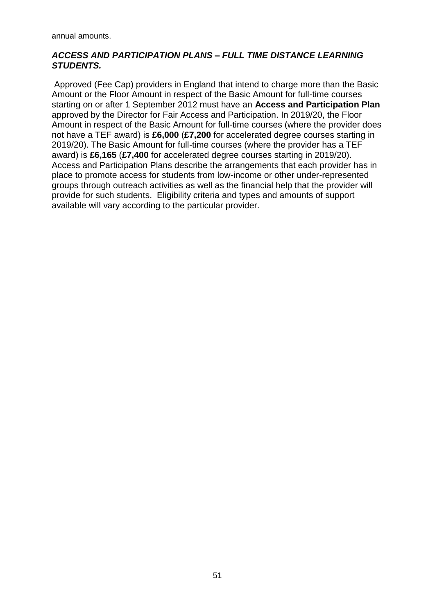annual amounts.

### *ACCESS AND PARTICIPATION PLANS – FULL TIME DISTANCE LEARNING STUDENTS.*

Approved (Fee Cap) providers in England that intend to charge more than the Basic Amount or the Floor Amount in respect of the Basic Amount for full-time courses starting on or after 1 September 2012 must have an **Access and Participation Plan** approved by the Director for Fair Access and Participation. In 2019/20, the Floor Amount in respect of the Basic Amount for full-time courses (where the provider does not have a TEF award) is **£6,000** (**£7,200** for accelerated degree courses starting in 2019/20). The Basic Amount for full-time courses (where the provider has a TEF award) is **£6,165** (**£7,400** for accelerated degree courses starting in 2019/20). Access and Participation Plans describe the arrangements that each provider has in place to promote access for students from low-income or other under-represented groups through outreach activities as well as the financial help that the provider will provide for such students. Eligibility criteria and types and amounts of support available will vary according to the particular provider.